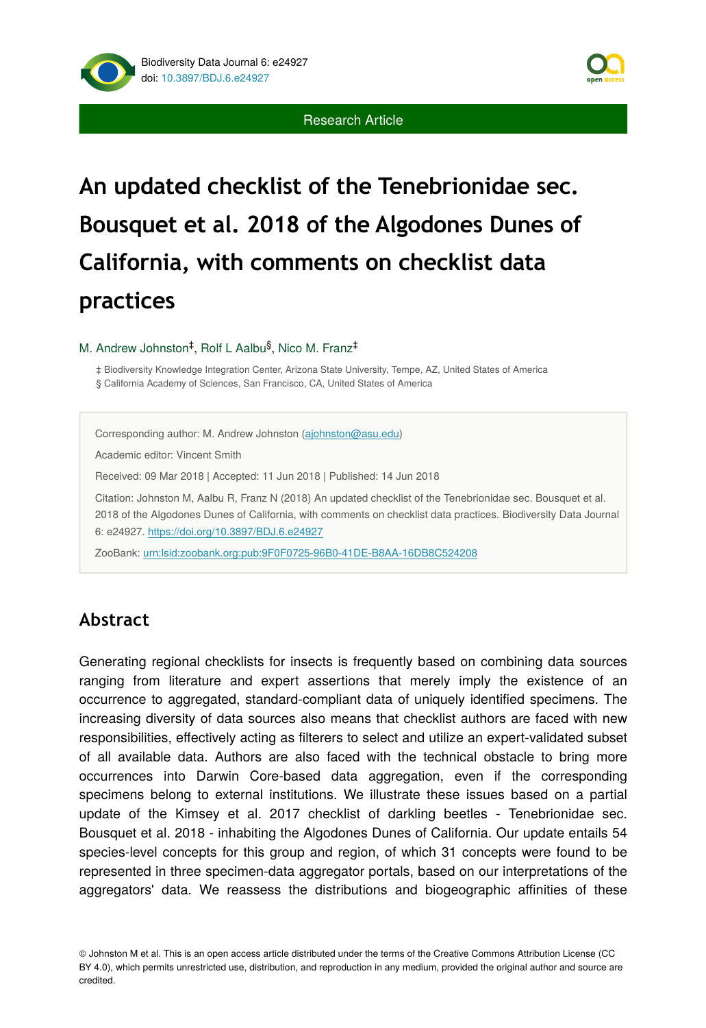



# **An updated checklist of the Tenebrionidae sec. Bousquet et al. 2018 of the Algodones Dunes of California, with comments on checklist data practices**

#### M. Andrew Johnston<sup>‡</sup>, Rolf L Aalbu<sup>§</sup>, Nico M. Franz<sup>‡</sup>

‡ Biodiversity Knowledge Integration Center, Arizona State University, Tempe, AZ, United States of America § California Academy of Sciences, San Francisco, CA, United States of America

Corresponding author: M. Andrew Johnston [\(ajohnston@asu.edu](mailto:ajohnston@asu.edu)) Academic editor: Vincent Smith Received: 09 Mar 2018 | Accepted: 11 Jun 2018 | Published: 14 Jun 2018 Citation: Johnston M, Aalbu R, Franz N (2018) An updated checklist of the Tenebrionidae sec. Bousquet et al. 2018 of the Algodones Dunes of California, with comments on checklist data practices. Biodiversity Data Journal 6: e24927. <https://doi.org/10.3897/BDJ.6.e24927>

ZooBank: [urn:lsid:zoobank.org:pub:9F0F0725-96B0-41DE-B8AA-16DB8C524208](http://zoobank.org/9F0F0725-96B0-41DE-B8AA-16DB8C524208)

# **Abstract**

Generating regional checklists for insects is frequently based on combining data sources ranging from literature and expert assertions that merely imply the existence of an occurrence to aggregated, standard-compliant data of uniquely identified specimens. The increasing diversity of data sources also means that checklist authors are faced with new responsibilities, effectively acting as filterers to select and utilize an expert-validated subset of all available data. Authors are also faced with the technical obstacle to bring more occurrences into Darwin Core-based data aggregation, even if the corresponding specimens belong to external institutions. We illustrate these issues based on a partial update of the Kimsey et al. 2017 checklist of darkling beetles - Tenebrionidae sec. Bousquet et al. 2018 - inhabiting the Algodones Dunes of California. Our update entails 54 species-level concepts for this group and region, of which 31 concepts were found to be represented in three specimen-data aggregator portals, based on our interpretations of the aggregators' data. We reassess the distributions and biogeographic affinities of these

© Johnston M et al. This is an open access article distributed under the terms of the Creative Commons Attribution License (CC BY 4.0), which permits unrestricted use, distribution, and reproduction in any medium, provided the original author and source are credited.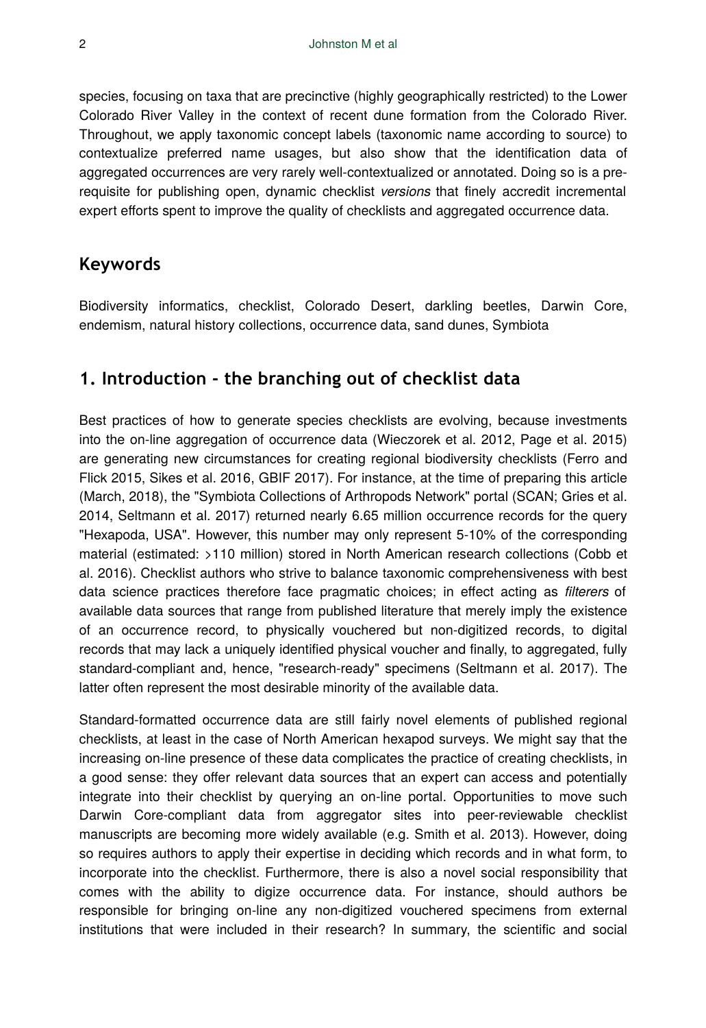species, focusing on taxa that are precinctive (highly geographically restricted) to the Lower Colorado River Valley in the context of recent dune formation from the Colorado River. Throughout, we apply taxonomic concept labels (taxonomic name according to source) to contextualize preferred name usages, but also show that the identification data of aggregated occurrences are very rarely well-contextualized or annotated. Doing so is a prerequisite for publishing open, dynamic checklist *versions* that finely accredit incremental expert efforts spent to improve the quality of checklists and aggregated occurrence data.

# **Keywords**

Biodiversity informatics, checklist, Colorado Desert, darkling beetles, Darwin Core, endemism, natural history collections, occurrence data, sand dunes, Symbiota

# **1. Introduction - the branching out of checklist data**

Best practices of how to generate species checklists are evolving, because investments into the on-line aggregation of occurrence data (Wieczorek et al. 2012, Page et al. 2015) are generating new circumstances for creating regional biodiversity checklists (Ferro and Flick 2015, Sikes et al. 2016, GBIF 2017). For instance, at the time of preparing this article (March, 2018), the "Symbiota Collections of Arthropods Network" portal (SCAN; Gries et al. 2014, Seltmann et al. 2017) returned nearly 6.65 million occurrence records for the query "Hexapoda, USA". However, this number may only represent 5-10% of the corresponding material (estimated: >110 million) stored in North American research collections (Cobb et al. 2016). Checklist authors who strive to balance taxonomic comprehensiveness with best data science practices therefore face pragmatic choices; in effect acting as *filterers* of available data sources that range from published literature that merely imply the existence of an occurrence record, to physically vouchered but non-digitized records, to digital records that may lack a uniquely identified physical voucher and finally, to aggregated, fully standard-compliant and, hence, "research-ready" specimens (Seltmann et al. 2017). The latter often represent the most desirable minority of the available data.

Standard-formatted occurrence data are still fairly novel elements of published regional checklists, at least in the case of North American hexapod surveys. We might say that the increasing on-line presence of these data complicates the practice of creating checklists, in a good sense: they offer relevant data sources that an expert can access and potentially integrate into their checklist by querying an on-line portal. Opportunities to move such Darwin Core-compliant data from aggregator sites into peer-reviewable checklist manuscripts are becoming more widely available (e.g. Smith et al. 2013). However, doing so requires authors to apply their expertise in deciding which records and in what form, to incorporate into the checklist. Furthermore, there is also a novel social responsibility that comes with the ability to digize occurrence data. For instance, should authors be responsible for bringing on-line any non-digitized vouchered specimens from external institutions that were included in their research? In summary, the scientific and social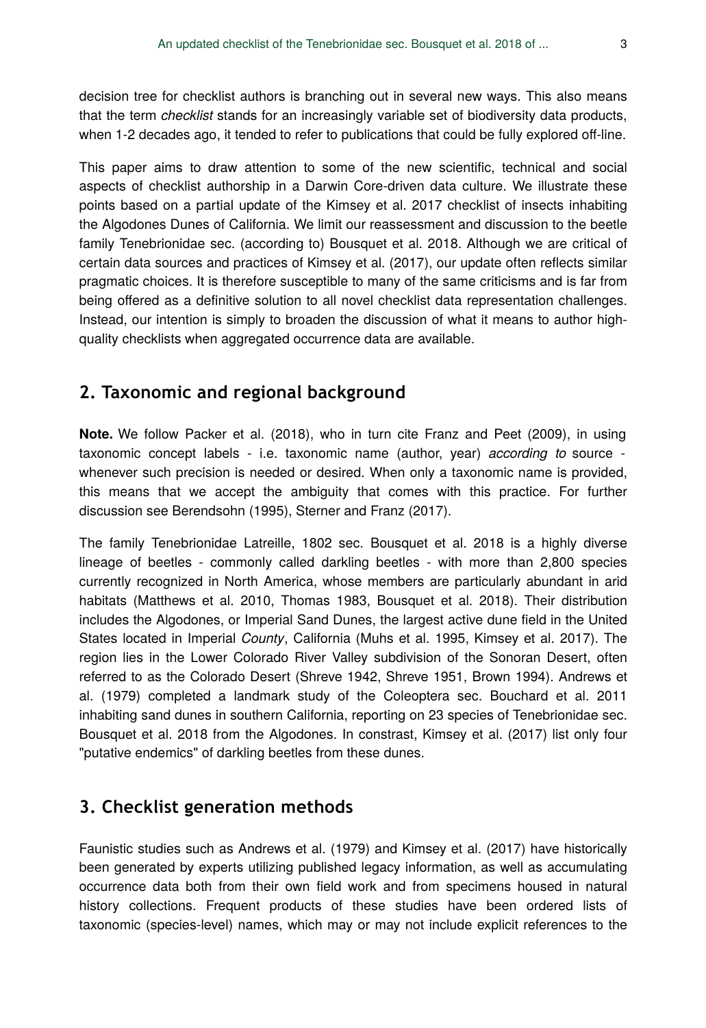decision tree for checklist authors is branching out in several new ways. This also means that the term *checklist* stands for an increasingly variable set of biodiversity data products, when 1-2 decades ago, it tended to refer to publications that could be fully explored off-line.

This paper aims to draw attention to some of the new scientific, technical and social aspects of checklist authorship in a Darwin Core-driven data culture. We illustrate these points based on a partial update of the Kimsey et al. 2017 checklist of insects inhabiting the Algodones Dunes of California. We limit our reassessment and discussion to the beetle family Tenebrionidae sec. (according to) Bousquet et al. 2018. Although we are critical of certain data sources and practices of Kimsey et al. (2017), our update often reflects similar pragmatic choices. It is therefore susceptible to many of the same criticisms and is far from being offered as a definitive solution to all novel checklist data representation challenges. Instead, our intention is simply to broaden the discussion of what it means to author highquality checklists when aggregated occurrence data are available.

# **2. Taxonomic and regional background**

**Note.** We follow Packer et al. (2018), who in turn cite Franz and Peet (2009), in using taxonomic concept labels - i.e. taxonomic name (author, year) *according to* source whenever such precision is needed or desired. When only a taxonomic name is provided, this means that we accept the ambiguity that comes with this practice. For further discussion see Berendsohn (1995), Sterner and Franz (2017).

The family Tenebrionidae Latreille, 1802 sec. Bousquet et al. 2018 is a highly diverse lineage of beetles - commonly called darkling beetles - with more than 2,800 species currently recognized in North America, whose members are particularly abundant in arid habitats (Matthews et al. 2010, Thomas 1983, Bousquet et al. 2018). Their distribution includes the Algodones, or Imperial Sand Dunes, the largest active dune field in the United States located in Imperial *County*, California (Muhs et al. 1995, Kimsey et al. 2017). The region lies in the Lower Colorado River Valley subdivision of the Sonoran Desert, often referred to as the Colorado Desert (Shreve 1942, Shreve 1951, Brown 1994). Andrews et al. (1979) completed a landmark study of the Coleoptera sec. Bouchard et al. 2011 inhabiting sand dunes in southern California, reporting on 23 species of Tenebrionidae sec. Bousquet et al. 2018 from the Algodones. In constrast, Kimsey et al. (2017) list only four "putative endemics" of darkling beetles from these dunes.

# **3. Checklist generation methods**

Faunistic studies such as Andrews et al. (1979) and Kimsey et al. (2017) have historically been generated by experts utilizing published legacy information, as well as accumulating occurrence data both from their own field work and from specimens housed in natural history collections. Frequent products of these studies have been ordered lists of taxonomic (species-level) names, which may or may not include explicit references to the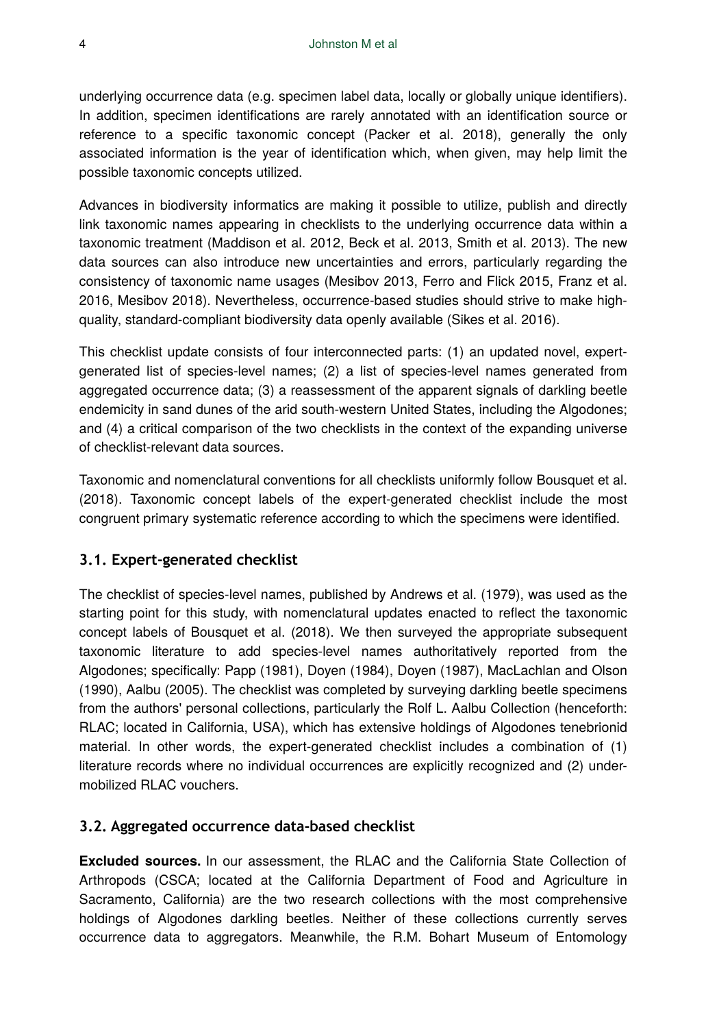underlying occurrence data (e.g. specimen label data, locally or globally unique identifiers). In addition, specimen identifications are rarely annotated with an identification source or reference to a specific taxonomic concept (Packer et al. 2018), generally the only associated information is the year of identification which, when given, may help limit the possible taxonomic concepts utilized.

Advances in biodiversity informatics are making it possible to utilize, publish and directly link taxonomic names appearing in checklists to the underlying occurrence data within a taxonomic treatment (Maddison et al. 2012, Beck et al. 2013, Smith et al. 2013). The new data sources can also introduce new uncertainties and errors, particularly regarding the consistency of taxonomic name usages (Mesibov 2013, Ferro and Flick 2015, Franz et al. 2016, Mesibov 2018). Nevertheless, occurrence-based studies should strive to make highquality, standard-compliant biodiversity data openly available (Sikes et al. 2016).

This checklist update consists of four interconnected parts: (1) an updated novel, expertgenerated list of species-level names; (2) a list of species-level names generated from aggregated occurrence data; (3) a reassessment of the apparent signals of darkling beetle endemicity in sand dunes of the arid south-western United States, including the Algodones; and (4) a critical comparison of the two checklists in the context of the expanding universe of checklist-relevant data sources.

Taxonomic and nomenclatural conventions for all checklists uniformly follow Bousquet et al. (2018). Taxonomic concept labels of the expert-generated checklist include the most congruent primary systematic reference according to which the specimens were identified.

# **3.1. Expert-generated checklist**

The checklist of species-level names, published by Andrews et al. (1979), was used as the starting point for this study, with nomenclatural updates enacted to reflect the taxonomic concept labels of Bousquet et al. (2018). We then surveyed the appropriate subsequent taxonomic literature to add species-level names authoritatively reported from the Algodones; specifically: Papp (1981), Doyen (1984), Doyen (1987), MacLachlan and Olson (1990), Aalbu (2005). The checklist was completed by surveying darkling beetle specimens from the authors' personal collections, particularly the Rolf L. Aalbu Collection (henceforth: RLAC; located in California, USA), which has extensive holdings of Algodones tenebrionid material. In other words, the expert-generated checklist includes a combination of (1) literature records where no individual occurrences are explicitly recognized and (2) undermobilized RLAC vouchers.

### **3.2. Aggregated occurrence data-based checklist**

**Excluded sources.** In our assessment, the RLAC and the California State Collection of Arthropods (CSCA; located at the California Department of Food and Agriculture in Sacramento, California) are the two research collections with the most comprehensive holdings of Algodones darkling beetles. Neither of these collections currently serves occurrence data to aggregators. Meanwhile, the R.M. Bohart Museum of Entomology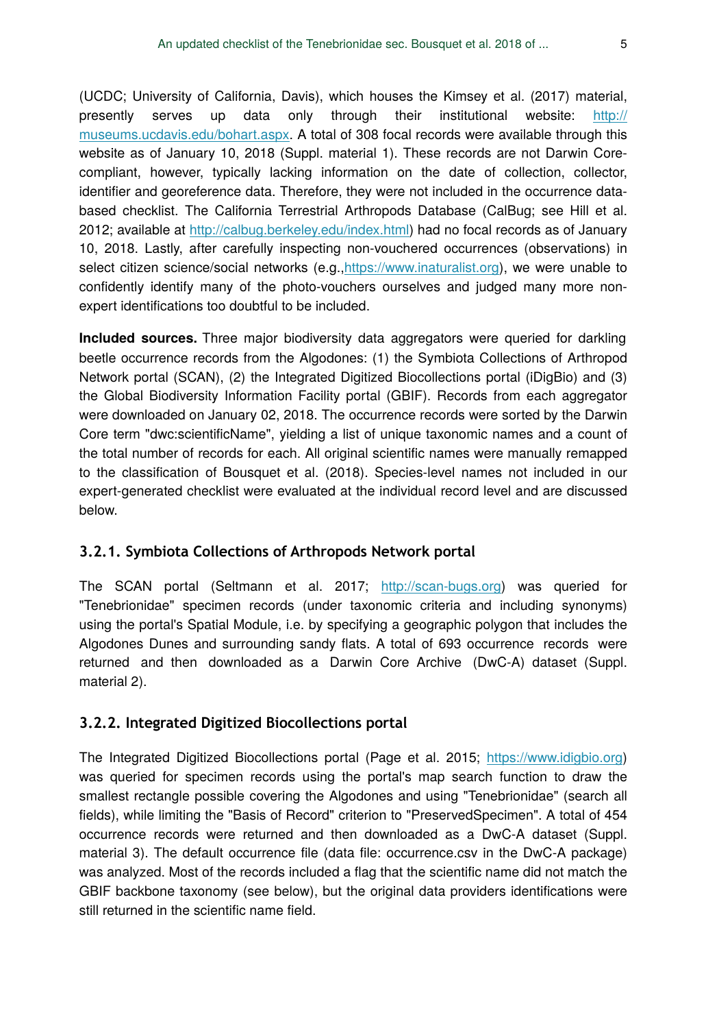(UCDC; University of California, Davis), which houses the Kimsey et al. (2017) material, presently serves up data only through their institutional website: [http://](http://museums.ucdavis.edu/bohart.aspx) [museums.ucdavis.edu/bohart.aspx.](http://museums.ucdavis.edu/bohart.aspx) A total of 308 focal records were available through this website as of January 10, 2018 (Suppl. material 1). These records are not Darwin Corecompliant, however, typically lacking information on the date of collection, collector, identifier and georeference data. Therefore, they were not included in the occurrence databased checklist. The California Terrestrial Arthropods Database (CalBug; see Hill et al. 2012; available at [http://calbug.berkeley.edu/index.html\)](http://calbug.berkeley.edu/index.html) had no focal records as of January 10, 2018. Lastly, after carefully inspecting non-vouchered occurrences (observations) in select citizen science/social networks (e.g., [https://www.inaturalist.org](https://www.inaturalist.org/)), we were unable to confidently identify many of the photo-vouchers ourselves and judged many more nonexpert identifications too doubtful to be included.

**Included sources.** Three major biodiversity data aggregators were queried for darkling beetle occurrence records from the Algodones: (1) the Symbiota Collections of Arthropod Network portal (SCAN), (2) the Integrated Digitized Biocollections portal (iDigBio) and (3) the Global Biodiversity Information Facility portal (GBIF). Records from each aggregator were downloaded on January 02, 2018. The occurrence records were sorted by the Darwin Core term "dwc:scientificName", yielding a list of unique taxonomic names and a count of the total number of records for each. All original scientific names were manually remapped to the classification of Bousquet et al. (2018). Species-level names not included in our expert-generated checklist were evaluated at the individual record level and are discussed below.

# **3.2.1. Symbiota Collections of Arthropods Network portal**

The SCAN portal (Seltmann et al. 2017; [http://scan-bugs.org\)](http://scan-bugs.org) was queried for "Tenebrionidae" specimen records (under taxonomic criteria and including synonyms) using the portal's Spatial Module, i.e. by specifying a geographic polygon that includes the Algodones Dunes and surrounding sandy flats. A total of 693 occurrence records were returned and then downloaded as a Darwin Core Archive (DwC-A) dataset (Suppl. material 2).

# **3.2.2. Integrated Digitized Biocollections portal**

The Integrated Digitized Biocollections portal (Page et al. 2015; [https://www.idigbio.org](https://www.idigbio.org/)) was queried for specimen records using the portal's map search function to draw the smallest rectangle possible covering the Algodones and using "Tenebrionidae" (search all fields), while limiting the "Basis of Record" criterion to "PreservedSpecimen". A total of 454 occurrence records were returned and then downloaded as a DwC-A dataset (Suppl. material 3). The default occurrence file (data file: occurrence.csv in the DwC-A package) was analyzed. Most of the records included a flag that the scientific name did not match the GBIF backbone taxonomy (see below), but the original data providers identifications were still returned in the scientific name field.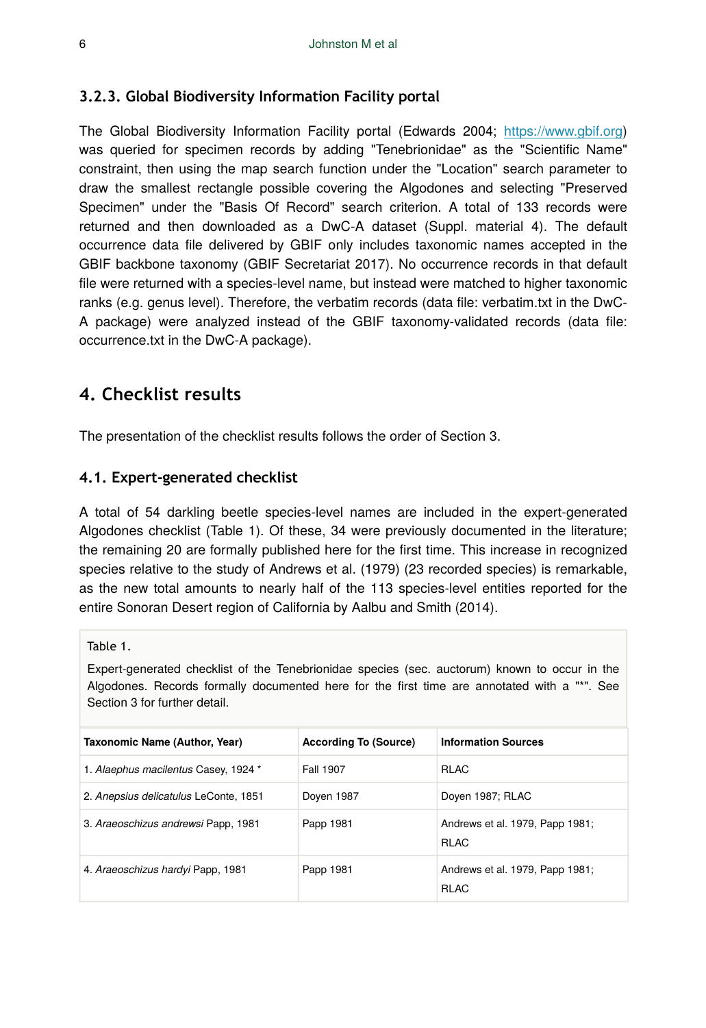### **3.2.3. Global Biodiversity Information Facility portal**

The Global Biodiversity Information Facility portal (Edwards 2004; <https://www.gbif.org>) was queried for specimen records by adding "Tenebrionidae" as the "Scientific Name" constraint, then using the map search function under the "Location" search parameter to draw the smallest rectangle possible covering the Algodones and selecting "Preserved Specimen" under the "Basis Of Record" search criterion. A total of 133 records were returned and then downloaded as a DwC-A dataset (Suppl. material 4). The default occurrence data file delivered by GBIF only includes taxonomic names accepted in the GBIF backbone taxonomy (GBIF Secretariat 2017). No occurrence records in that default file were returned with a species-level name, but instead were matched to higher taxonomic ranks (e.g. genus level). Therefore, the verbatim records (data file: verbatim.txt in the DwC-A package) were analyzed instead of the GBIF taxonomy-validated records (data file: occurrence.txt in the DwC-A package).

# **4. Checklist results**

The presentation of the checklist results follows the order of Section 3.

### **4.1. Expert-generated checklist**

A total of 54 darkling beetle species-level names are included in the expert-generated Algodones checklist (Table 1). Of these, 34 were previously documented in the literature; the remaining 20 are formally published here for the first time. This increase in recognized species relative to the study of Andrews et al. (1979) (23 recorded species) is remarkable, as the new total amounts to nearly half of the 113 species-level entities reported for the entire Sonoran Desert region of California by Aalbu and Smith (2014).

Table 1.

Expert-generated checklist of the Tenebrionidae species (sec. auctorum) known to occur in the Algodones. Records formally documented here for the first time are annotated with a "\*". See Section 3 for further detail.

| Taxonomic Name (Author, Year)         | <b>According To (Source)</b> | <b>Information Sources</b>                     |
|---------------------------------------|------------------------------|------------------------------------------------|
| 1. Alaephus macilentus Casey, 1924 *  | Fall 1907                    | <b>RLAC</b>                                    |
| 2. Anepsius delicatulus LeConte, 1851 | Doyen 1987                   | Doyen 1987; RLAC                               |
| 3. Araeoschizus andrewsi Papp, 1981   | Papp 1981                    | Andrews et al. 1979, Papp 1981;<br><b>RLAC</b> |
| 4. Araeoschizus hardyi Papp, 1981     | Papp 1981                    | Andrews et al. 1979, Papp 1981;<br><b>RLAC</b> |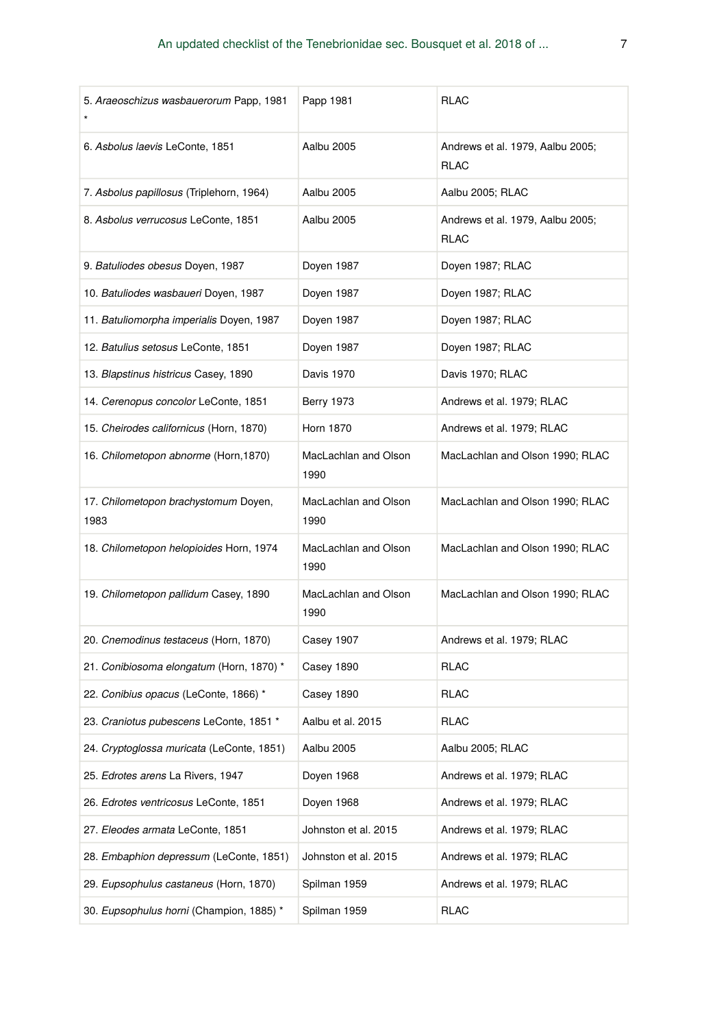| 5. Araeoschizus wasbauerorum Papp, 1981      | Papp 1981                    | <b>RLAC</b>                                     |
|----------------------------------------------|------------------------------|-------------------------------------------------|
| 6. Asbolus laevis LeConte, 1851              | Aalbu 2005                   | Andrews et al. 1979, Aalbu 2005;<br><b>RLAC</b> |
| 7. Asbolus papillosus (Triplehorn, 1964)     | Aalbu 2005                   | Aalbu 2005; RLAC                                |
| 8. Asbolus verrucosus LeConte, 1851          | Aalbu 2005                   | Andrews et al. 1979, Aalbu 2005;<br><b>RLAC</b> |
| 9. Batuliodes obesus Doyen, 1987             | Doyen 1987                   | Doyen 1987; RLAC                                |
| 10. Batuliodes wasbaueri Doyen, 1987         | Doyen 1987                   | Doyen 1987; RLAC                                |
| 11. Batuliomorpha imperialis Doyen, 1987     | Doyen 1987                   | Doyen 1987; RLAC                                |
| 12. Batulius setosus LeConte, 1851           | Doyen 1987                   | Doyen 1987; RLAC                                |
| 13. Blapstinus histricus Casey, 1890         | Davis 1970                   | Davis 1970; RLAC                                |
| 14. Cerenopus concolor LeConte, 1851         | <b>Berry 1973</b>            | Andrews et al. 1979; RLAC                       |
| 15. Cheirodes californicus (Horn, 1870)      | <b>Horn 1870</b>             | Andrews et al. 1979; RLAC                       |
| 16. Chilometopon abnorme (Horn, 1870)        | MacLachlan and Olson<br>1990 | MacLachlan and Olson 1990; RLAC                 |
| 17. Chilometopon brachystomum Doyen,<br>1983 | MacLachlan and Olson<br>1990 | MacLachlan and Olson 1990; RLAC                 |
| 18. Chilometopon helopioides Horn, 1974      | MacLachlan and Olson<br>1990 | MacLachlan and Olson 1990; RLAC                 |
| 19. Chilometopon pallidum Casey, 1890        | MacLachlan and Olson<br>1990 | MacLachlan and Olson 1990; RLAC                 |
| 20. Cnemodinus testaceus (Horn, 1870)        | Casey 1907                   | Andrews et al. 1979; RLAC                       |
| 21. Conibiosoma elongatum (Horn, 1870) *     | Casey 1890                   | <b>RLAC</b>                                     |
| 22. Conibius opacus (LeConte, 1866) *        | Casey 1890                   | RLAC                                            |
| 23. Craniotus pubescens LeConte, 1851 *      | Aalbu et al. 2015            | <b>RLAC</b>                                     |
| 24. Cryptoglossa muricata (LeConte, 1851)    | Aalbu 2005                   | Aalbu 2005; RLAC                                |
| 25. Edrotes arens La Rivers, 1947            | Doyen 1968                   | Andrews et al. 1979; RLAC                       |
| 26. Edrotes ventricosus LeConte, 1851        | Doyen 1968                   | Andrews et al. 1979; RLAC                       |
| 27. Eleodes armata LeConte, 1851             | Johnston et al. 2015         | Andrews et al. 1979; RLAC                       |
| 28. Embaphion depressum (LeConte, 1851)      | Johnston et al. 2015         | Andrews et al. 1979; RLAC                       |
| 29. Eupsophulus castaneus (Horn, 1870)       | Spilman 1959                 | Andrews et al. 1979; RLAC                       |
| 30. Eupsophulus horni (Champion, 1885) *     | Spilman 1959                 | RLAC                                            |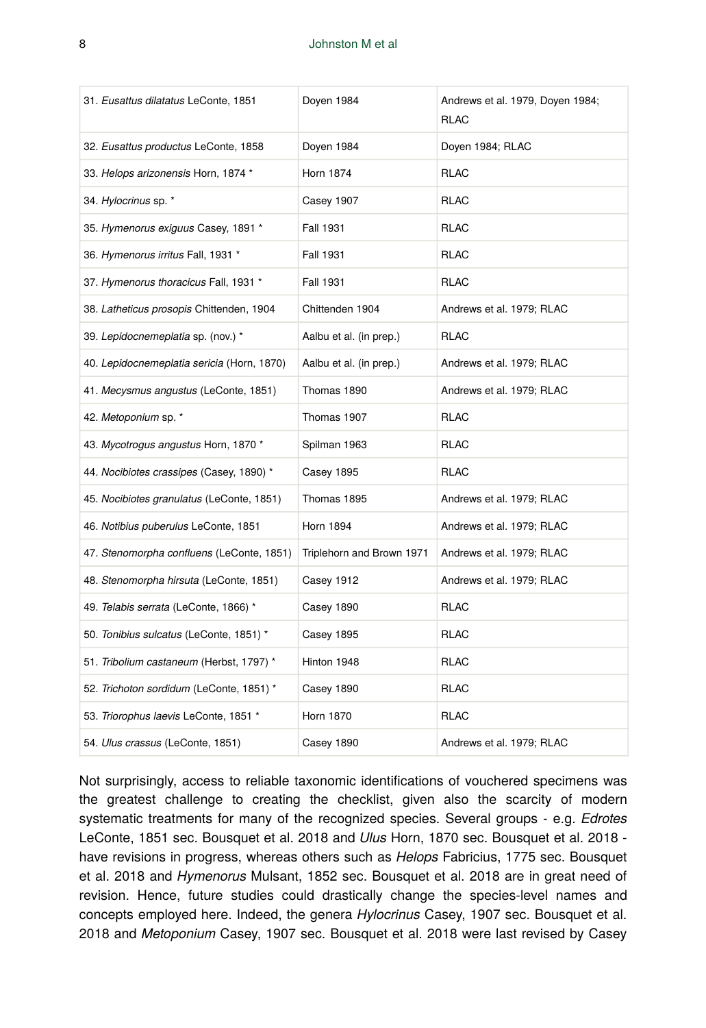| 31. Eusattus dilatatus LeConte, 1851       | Doyen 1984                | Andrews et al. 1979, Doyen 1984;<br><b>RLAC</b> |
|--------------------------------------------|---------------------------|-------------------------------------------------|
| 32. Eusattus productus LeConte, 1858       | Doyen 1984                | Doyen 1984; RLAC                                |
| 33. Helops arizonensis Horn, 1874 *        | <b>Horn 1874</b>          | <b>RLAC</b>                                     |
| 34. Hylocrinus sp. *                       | Casey 1907                | <b>RLAC</b>                                     |
| 35. Hymenorus exiguus Casey, 1891 *        | Fall 1931                 | <b>RLAC</b>                                     |
| 36. Hymenorus irritus Fall, 1931 *         | Fall 1931                 | <b>RLAC</b>                                     |
| 37. Hymenorus thoracicus Fall, 1931 *      | <b>Fall 1931</b>          | <b>RLAC</b>                                     |
| 38. Latheticus prosopis Chittenden, 1904   | Chittenden 1904           | Andrews et al. 1979; RLAC                       |
| 39. Lepidocnemeplatia sp. (nov.) *         | Aalbu et al. (in prep.)   | <b>RLAC</b>                                     |
| 40. Lepidocnemeplatia sericia (Horn, 1870) | Aalbu et al. (in prep.)   | Andrews et al. 1979; RLAC                       |
| 41. Mecysmus angustus (LeConte, 1851)      | Thomas 1890               | Andrews et al. 1979; RLAC                       |
| 42. Metoponium sp. *                       | Thomas 1907               | <b>RLAC</b>                                     |
| 43. Mycotrogus angustus Horn, 1870 *       | Spilman 1963              | <b>RLAC</b>                                     |
| 44. Nocibiotes crassipes (Casey, 1890) *   | Casey 1895                | <b>RLAC</b>                                     |
| 45. Nocibiotes granulatus (LeConte, 1851)  | Thomas 1895               | Andrews et al. 1979; RLAC                       |
| 46. Notibius puberulus LeConte, 1851       | <b>Horn 1894</b>          | Andrews et al. 1979; RLAC                       |
| 47. Stenomorpha confluens (LeConte, 1851)  | Triplehorn and Brown 1971 | Andrews et al. 1979; RLAC                       |
| 48. Stenomorpha hirsuta (LeConte, 1851)    | Casey 1912                | Andrews et al. 1979; RLAC                       |
| 49. Telabis serrata (LeConte, 1866) *      | Casey 1890                | <b>RLAC</b>                                     |
| 50. Tonibius sulcatus (LeConte, 1851) *    | Casey 1895                | <b>RLAC</b>                                     |
| 51. Tribolium castaneum (Herbst, 1797) *   | Hinton 1948               | <b>RLAC</b>                                     |
| 52. Trichoton sordidum (LeConte, 1851) *   | Casey 1890                | <b>RLAC</b>                                     |
| 53. Triorophus laevis LeConte, 1851 *      | <b>Horn 1870</b>          | <b>RLAC</b>                                     |
| 54. Ulus crassus (LeConte, 1851)           | Casey 1890                | Andrews et al. 1979; RLAC                       |

Not surprisingly, access to reliable taxonomic identifications of vouchered specimens was the greatest challenge to creating the checklist, given also the scarcity of modern systematic treatments for many of the recognized species. Several groups - e.g. *Edrotes* LeConte, 1851 sec. Bousquet et al. 2018 and *Ulus* Horn, 1870 sec. Bousquet et al. 2018 have revisions in progress, whereas others such as *Helops* Fabricius, 1775 sec. Bousquet et al. 2018 and *Hymenorus* Mulsant, 1852 sec. Bousquet et al. 2018 are in great need of revision. Hence, future studies could drastically change the species-level names and concepts employed here. Indeed, the genera *Hylocrinus* Casey, 1907 sec. Bousquet et al. 2018 and *Metoponium* Casey, 1907 sec. Bousquet et al. 2018 were last revised by Casey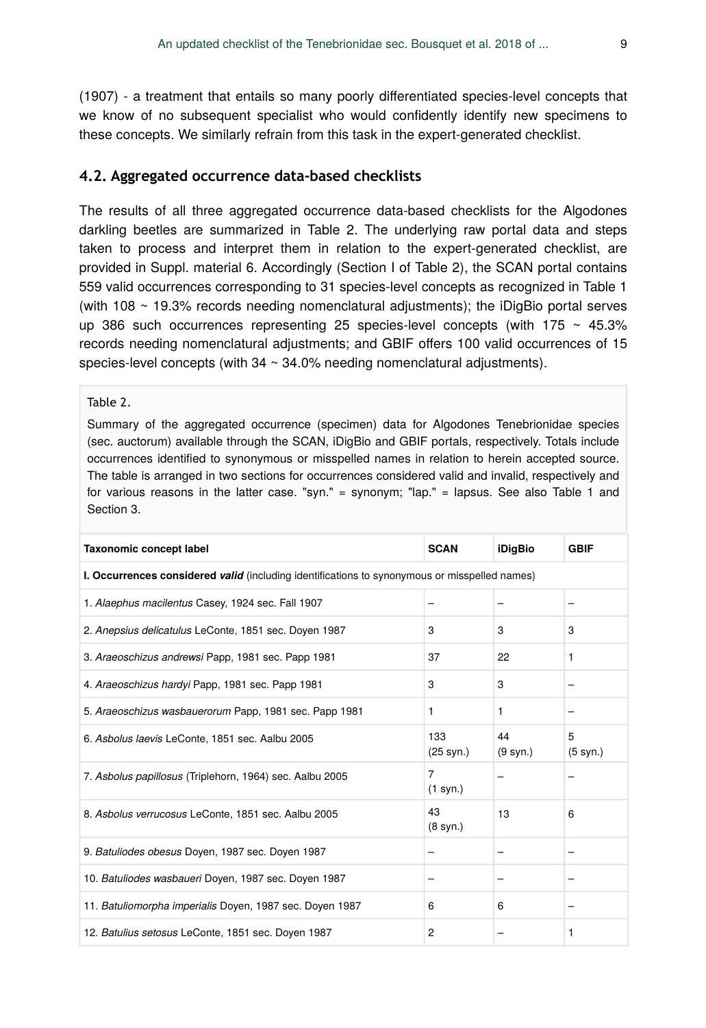(1907) - a treatment that entails so many poorly differentiated species-level concepts that we know of no subsequent specialist who would confidently identify new specimens to these concepts. We similarly refrain from this task in the expert-generated checklist.

### **4.2. Aggregated occurrence data-based checklists**

The results of all three aggregated occurrence data-based checklists for the Algodones darkling beetles are summarized in Table 2. The underlying raw portal data and steps taken to process and interpret them in relation to the expert-generated checklist, are provided in Suppl. material 6. Accordingly (Section I of Table 2), the SCAN portal contains 559 valid occurrences corresponding to 31 species-level concepts as recognized in Table 1 (with 108 ~ 19.3% records needing nomenclatural adjustments); the iDigBio portal serves up 386 such occurrences representing 25 species-level concepts (with  $175 \sim 45.3\%$ ) records needing nomenclatural adjustments; and GBIF offers 100 valid occurrences of 15 species-level concepts (with  $34 \sim 34.0\%$  needing nomenclatural adjustments).

#### Table 2.

Summary of the aggregated occurrence (specimen) data for Algodones Tenebrionidae species (sec. auctorum) available through the SCAN, iDigBio and GBIF portals, respectively. Totals include occurrences identified to synonymous or misspelled names in relation to herein accepted source. The table is arranged in two sections for occurrences considered valid and invalid, respectively and for various reasons in the latter case. "syn." = synonym; "lap." = lapsus. See also Table 1 and Section 3.

| Taxonomic concept label                                                                       | <b>SCAN</b>              | <b>iDigBio</b> | <b>GBIF</b>   |  |  |
|-----------------------------------------------------------------------------------------------|--------------------------|----------------|---------------|--|--|
| I. Occurrences considered valid (including identifications to synonymous or misspelled names) |                          |                |               |  |  |
| 1. Alaephus macilentus Casey, 1924 sec. Fall 1907                                             |                          |                |               |  |  |
| 2. Anepsius delicatulus LeConte, 1851 sec. Doyen 1987                                         | 3                        | 3              | 3             |  |  |
| 3. Araeoschizus andrewsi Papp, 1981 sec. Papp 1981                                            | 37                       | 22             | 1             |  |  |
| 4. Araeoschizus hardyi Papp, 1981 sec. Papp 1981                                              | 3                        | 3              |               |  |  |
| 5. Araeoschizus wasbauerorum Papp, 1981 sec. Papp 1981                                        | 1                        | 1              |               |  |  |
| 6. Asbolus laevis LeConte, 1851 sec. Aalbu 2005                                               | 133<br>(25 syn.)         | 44<br>(9 syn.) | 5<br>(5 syn.) |  |  |
| 7. Asbolus papillosus (Triplehorn, 1964) sec. Aalbu 2005                                      | 7<br>(1 syn.)            |                |               |  |  |
| 8. Asbolus verrucosus LeConte, 1851 sec. Aalbu 2005                                           | 43<br>$(8 \text{ syn.})$ | 13             | 6             |  |  |
| 9. Batuliodes obesus Doyen, 1987 sec. Doyen 1987                                              |                          |                |               |  |  |
| 10. Batuliodes wasbaueri Doyen, 1987 sec. Doyen 1987                                          |                          |                |               |  |  |
| 11. Batuliomorpha imperialis Doyen, 1987 sec. Doyen 1987                                      | 6                        | 6              |               |  |  |
| 12. Batulius setosus LeConte, 1851 sec. Doyen 1987                                            | 2                        |                | 1             |  |  |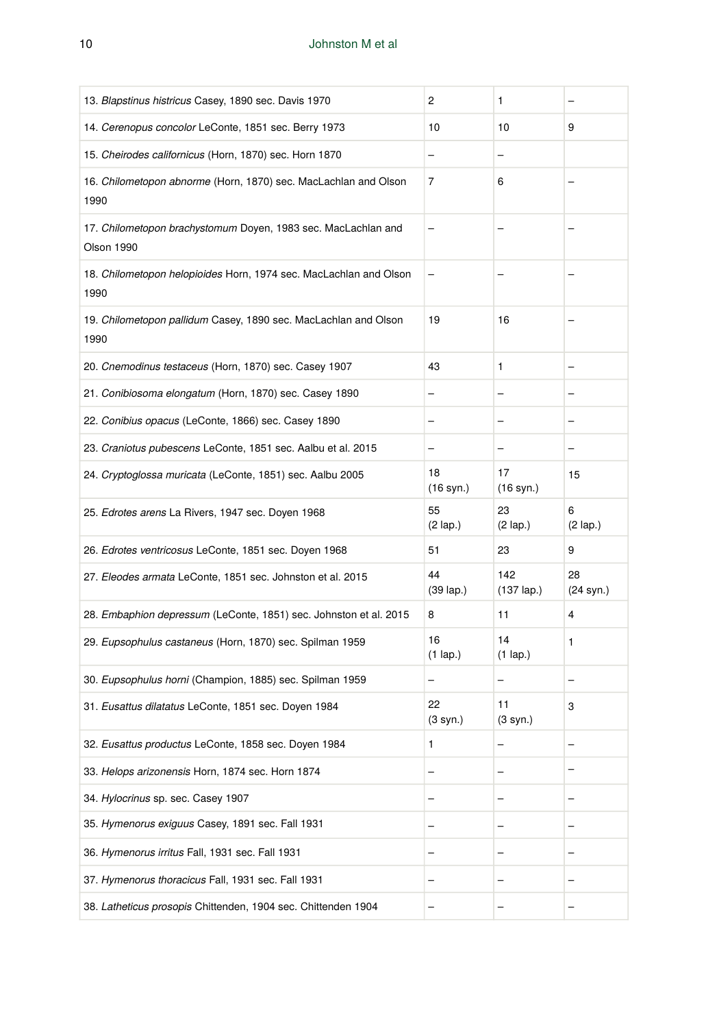| 13. Blapstinus histricus Casey, 1890 sec. Davis 1970                        | 2                         | 1                           |                         |
|-----------------------------------------------------------------------------|---------------------------|-----------------------------|-------------------------|
| 14. Cerenopus concolor LeConte, 1851 sec. Berry 1973                        | 10                        | 10                          | 9                       |
| 15. Cheirodes californicus (Horn, 1870) sec. Horn 1870                      | -                         | -                           |                         |
| 16. Chilometopon abnorme (Horn, 1870) sec. MacLachlan and Olson<br>1990     | 7                         | 6                           |                         |
| 17. Chilometopon brachystomum Doyen, 1983 sec. MacLachlan and<br>Olson 1990 | -                         |                             |                         |
| 18. Chilometopon helopioides Horn, 1974 sec. MacLachlan and Olson<br>1990   |                           |                             |                         |
| 19. Chilometopon pallidum Casey, 1890 sec. MacLachlan and Olson<br>1990     | 19                        | 16                          |                         |
| 20. Cnemodinus testaceus (Horn, 1870) sec. Casey 1907                       | 43                        | 1                           |                         |
| 21. Conibiosoma elongatum (Horn, 1870) sec. Casey 1890                      |                           |                             |                         |
| 22. Conibius opacus (LeConte, 1866) sec. Casey 1890                         |                           |                             |                         |
| 23. Craniotus pubescens LeConte, 1851 sec. Aalbu et al. 2015                |                           |                             |                         |
| 24. Cryptoglossa muricata (LeConte, 1851) sec. Aalbu 2005                   | 18<br>$(16 \text{ syn.})$ | 17<br>$(16 \text{ syn.})$   | 15                      |
|                                                                             |                           |                             |                         |
| 25. Edrotes arens La Rivers, 1947 sec. Doyen 1968                           | 55<br>$(2 \text{ lap.})$  | 23<br>$(2 \text{ lap.})$    | 6<br>$(2 \text{ lap.})$ |
| 26. Edrotes ventricosus LeConte, 1851 sec. Doyen 1968                       | 51                        | 23                          | 9                       |
| 27. Eleodes armata LeConte, 1851 sec. Johnston et al. 2015                  | 44<br>$(39 \text{ lap.})$ | 142<br>$(137 \text{ lap.})$ | 28<br>(24 syn.)         |
| 28. Embaphion depressum (LeConte, 1851) sec. Johnston et al. 2015           | 8                         | 11                          | 4                       |
| 29. Eupsophulus castaneus (Horn, 1870) sec. Spilman 1959                    | 16<br>$(1$ lap.)          | 14<br>$(1$ lap.)            | 1                       |
| 30. Eupsophulus horni (Champion, 1885) sec. Spilman 1959                    | -                         | -                           | -                       |
| 31. Eusattus dilatatus LeConte, 1851 sec. Doyen 1984                        | 22<br>(3 syn.)            | 11<br>$(3 \text{ syn.})$    | 3                       |
| 32. Eusattus productus LeConte, 1858 sec. Doyen 1984                        | 1                         | -                           | -                       |
| 33. Helops arizonensis Horn, 1874 sec. Horn 1874                            |                           |                             |                         |
| 34. Hylocrinus sp. sec. Casey 1907                                          |                           |                             |                         |
| 35. Hymenorus exiguus Casey, 1891 sec. Fall 1931                            |                           |                             |                         |
| 36. Hymenorus irritus Fall, 1931 sec. Fall 1931                             | -                         |                             |                         |
| 37. Hymenorus thoracicus Fall, 1931 sec. Fall 1931                          | -                         |                             |                         |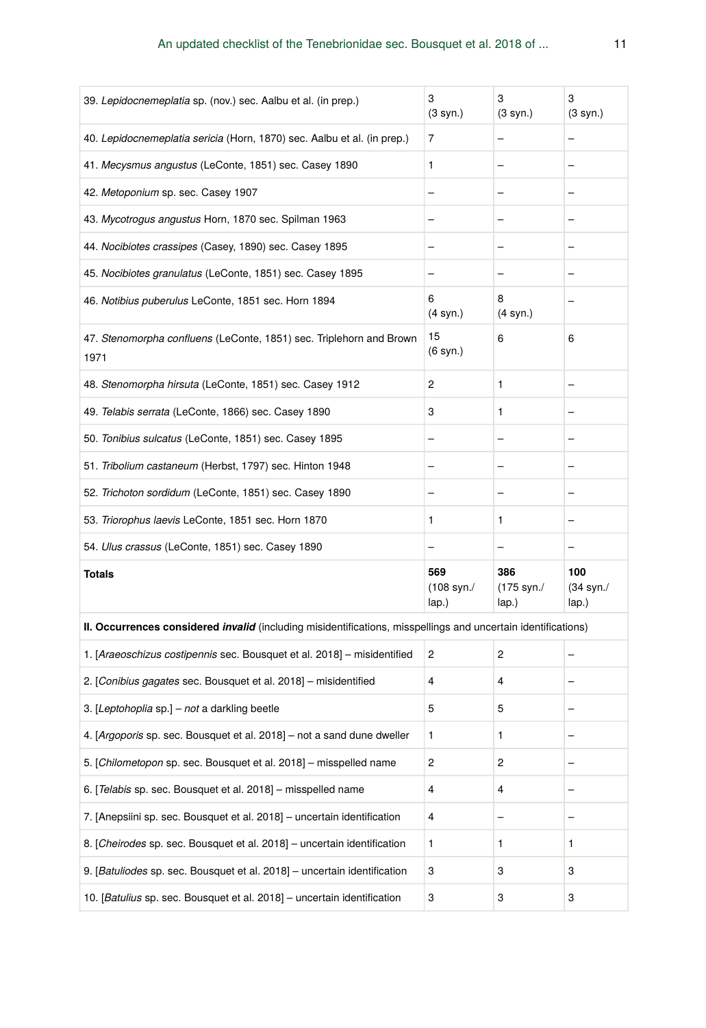| 39. Lepidocnemeplatia sp. (nov.) sec. Aalbu et al. (in prep.)                                                        | 3<br>$(3 \text{ syn.})$              | 3<br>(3 syn.)              | 3<br>(3 syn.)                       |
|----------------------------------------------------------------------------------------------------------------------|--------------------------------------|----------------------------|-------------------------------------|
| 40. Lepidocnemeplatia sericia (Horn, 1870) sec. Aalbu et al. (in prep.)                                              | 7                                    |                            |                                     |
| 41. Mecysmus angustus (LeConte, 1851) sec. Casey 1890                                                                | $\mathbf{1}$                         | -                          | $\overline{\phantom{0}}$            |
| 42. Metoponium sp. sec. Casey 1907                                                                                   | ÷                                    |                            |                                     |
| 43. Mycotrogus angustus Horn, 1870 sec. Spilman 1963                                                                 | $\overline{\phantom{0}}$             |                            |                                     |
| 44. Nocibiotes crassipes (Casey, 1890) sec. Casey 1895                                                               | $\overline{\phantom{0}}$             |                            |                                     |
| 45. Nocibiotes granulatus (LeConte, 1851) sec. Casey 1895                                                            | $\overline{\phantom{0}}$             |                            |                                     |
| 46. Notibius puberulus LeConte, 1851 sec. Horn 1894                                                                  | 6<br>(4 syn.)                        | 8<br>(4 syn.)              |                                     |
| 47. Stenomorpha confluens (LeConte, 1851) sec. Triplehorn and Brown<br>1971                                          | 15<br>(6 syn.)                       | 6                          | 6                                   |
| 48. Stenomorpha hirsuta (LeConte, 1851) sec. Casey 1912                                                              | $\overline{c}$                       | $\mathbf{1}$               |                                     |
| 49. Telabis serrata (LeConte, 1866) sec. Casey 1890                                                                  | 3                                    | $\mathbf{1}$               |                                     |
| 50. Tonibius sulcatus (LeConte, 1851) sec. Casey 1895                                                                |                                      |                            |                                     |
| 51. Tribolium castaneum (Herbst, 1797) sec. Hinton 1948                                                              |                                      |                            |                                     |
| 52. Trichoton sordidum (LeConte, 1851) sec. Casey 1890                                                               |                                      |                            |                                     |
| 53. Triorophus laevis LeConte, 1851 sec. Horn 1870                                                                   | 1                                    | 1                          |                                     |
| 54. Ulus crassus (LeConte, 1851) sec. Casey 1890                                                                     |                                      |                            |                                     |
| <b>Totals</b>                                                                                                        | 569<br>$(108 \text{ syn.}/$<br>lap.) | 386<br>(175 syn./<br>lap.) | 100<br>$(34 \text{ syn.}/$<br>lap.) |
| II. Occurrences considered <i>invalid</i> (including misidentifications, misspellings and uncertain identifications) |                                      |                            |                                     |
| 1. [Araeoschizus costipennis sec. Bousquet et al. 2018] - misidentified                                              | 2                                    | 2                          |                                     |
| 2. [Conibius gagates sec. Bousquet et al. 2018] - misidentified                                                      | 4                                    | 4                          |                                     |
| 3. [Leptohoplia sp.] - not a darkling beetle                                                                         | 5                                    | 5                          |                                     |
| 4. [Argoporis sp. sec. Bousquet et al. 2018] - not a sand dune dweller                                               | 1                                    | 1                          |                                     |
| 5. [Chilometopon sp. sec. Bousquet et al. 2018] – misspelled name                                                    | $\overline{2}$                       | $\overline{2}$             |                                     |
| 6. [Telabis sp. sec. Bousquet et al. 2018] - misspelled name                                                         | 4                                    | 4                          |                                     |
| 7. [Anepsiini sp. sec. Bousquet et al. 2018] - uncertain identification                                              | 4                                    | -                          |                                     |
| 8. [Cheirodes sp. sec. Bousquet et al. 2018] - uncertain identification                                              | 1                                    | 1                          | 1                                   |
| 9. [Batuliodes sp. sec. Bousquet et al. 2018] - uncertain identification                                             | 3                                    | 3                          | 3                                   |
| 10. [Batulius sp. sec. Bousquet et al. 2018] - uncertain identification                                              | 3                                    | 3                          | 3                                   |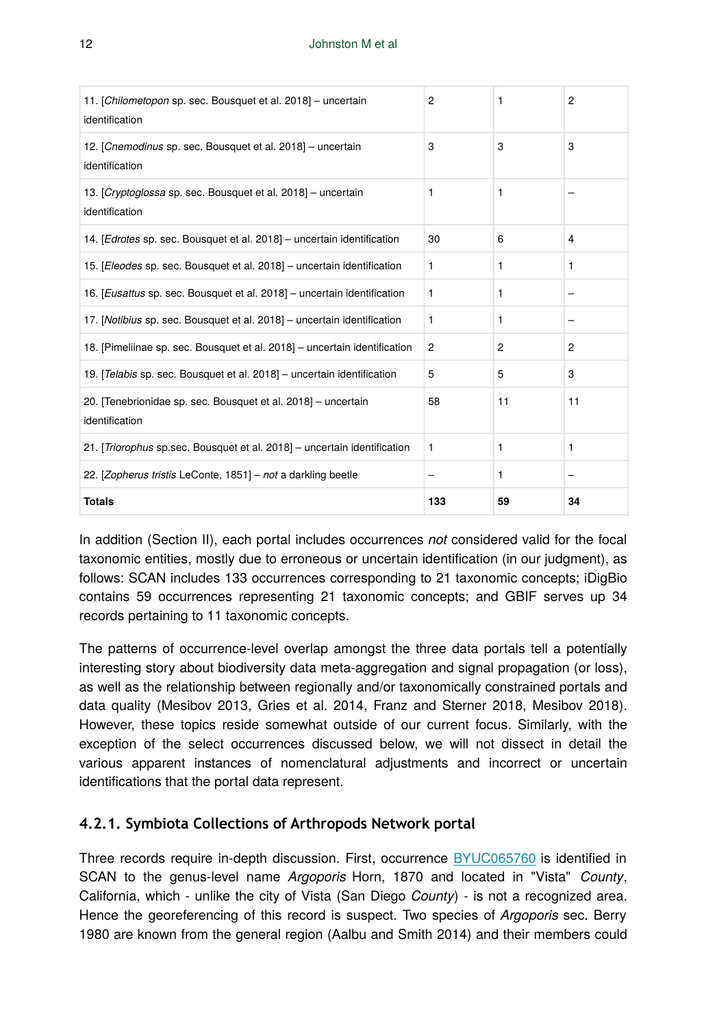| 11. [Chilometopon sp. sec. Bousquet et al. 2018] - uncertain<br>identification  | $\overline{2}$ | 1  | $\overline{2}$ |
|---------------------------------------------------------------------------------|----------------|----|----------------|
| 12. [Cnemodinus sp. sec. Bousquet et al. 2018] - uncertain<br>identification    | 3              | 3  | 3              |
| 13. [Cryptoglossa sp. sec. Bousquet et al. 2018] - uncertain<br>identification  | 1              | 1  |                |
| 14. [Edrotes sp. sec. Bousquet et al. 2018] - uncertain identification          | 30             | 6  | $\overline{4}$ |
| 15. [Eleodes sp. sec. Bousquet et al. 2018] - uncertain identification          | 1              | 1  | 1              |
| 16. [Eusattus sp. sec. Bousquet et al. 2018] - uncertain identification         | $\mathbf{1}$   | 1  |                |
| 17. [Notibius sp. sec. Bousquet et al. 2018] - uncertain identification         | 1              | 1  |                |
| 18. [Pimeliinae sp. sec. Bousquet et al. 2018] - uncertain identification       | $\overline{2}$ | 2  | $\overline{2}$ |
| 19. [Telabis sp. sec. Bousquet et al. 2018] - uncertain identification          | 5              | 5  | 3              |
| 20. [Tenebrionidae sp. sec. Bousquet et al. 2018] - uncertain<br>identification | 58             | 11 | 11             |
| 21. [Triorophus sp.sec. Bousquet et al. 2018] - uncertain identification        | 1              | 1  | 1              |
| 22. [Zopherus tristis LeConte, 1851] - not a darkling beetle                    |                | 1  |                |
| <b>Totals</b>                                                                   | 133            | 59 | 34             |

In addition (Section II), each portal includes occurrences *not* considered valid for the focal taxonomic entities, mostly due to erroneous or uncertain identification (in our judgment), as follows: SCAN includes 133 occurrences corresponding to 21 taxonomic concepts; iDigBio contains 59 occurrences representing 21 taxonomic concepts; and GBIF serves up 34 records pertaining to 11 taxonomic concepts.

The patterns of occurrence-level overlap amongst the three data portals tell a potentially interesting story about biodiversity data meta-aggregation and signal propagation (or loss), as well as the relationship between regionally and/or taxonomically constrained portals and data quality (Mesibov 2013, Gries et al. 2014, Franz and Sterner 2018, Mesibov 2018). However, these topics reside somewhat outside of our current focus. Similarly, with the exception of the select occurrences discussed below, we will not dissect in detail the various apparent instances of nomenclatural adjustments and incorrect or uncertain identifications that the portal data represent.

# **4.2.1. Symbiota Collections of Arthropods Network portal**

Three records require in-depth discussion. First, occurrence [BYUC065760](http://scan-bugs.org/portal/collections/individual/index.php?occid=20925175) is identified in SCAN to the genus-level name *Argoporis* Horn, 1870 and located in "Vista" *County*, California, which - unlike the city of Vista (San Diego *County*) - is not a recognized area. Hence the georeferencing of this record is suspect. Two species of *Argoporis* sec. Berry 1980 are known from the general region (Aalbu and Smith 2014) and their members could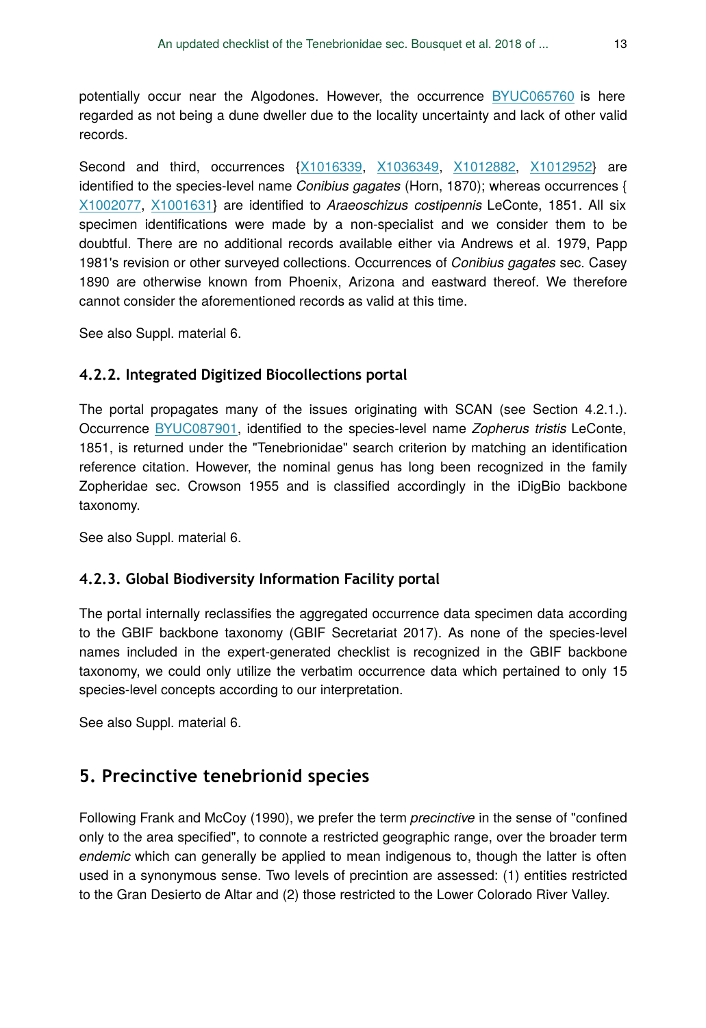potentially occur near the Algodones. However, the occurrence [BYUC065760](http://scan-bugs.org/portal/collections/individual/index.php?occid=20925175) is here regarded as not being a dune dweller due to the locality uncertainty and lack of other valid records.

Second and third, occurrences {[X1016339,](http://scan-bugs.org/portal/collections/individual/index.php?occid=12639076) [X1036349,](http://scan-bugs.org/portal/collections/individual/index.php?occid=12639077) [X1012882](http://scan-bugs.org/portal/collections/individual/index.php?occid=12639086), [X1012952](http://scan-bugs.org/portal/collections/individual/index.php?occid=12639087)} are identified to the species-level name *Conibius gagates* (Horn, 1870); whereas occurrences { [X1002077](http://scan-bugs.org/portal/collections/individual/index.php?occid=12639075), [X1001631](http://scan-bugs.org/portal/collections/individual/index.php?occid=12639088)} are identified to *Araeoschizus costipennis* LeConte, 1851. All six specimen identifications were made by a non-specialist and we consider them to be doubtful. There are no additional records available either via Andrews et al. 1979, Papp 1981's revision or other surveyed collections. Occurrences of *Conibius gagates* sec. Casey 1890 are otherwise known from Phoenix, Arizona and eastward thereof. We therefore cannot consider the aforementioned records as valid at this time.

See also Suppl. material 6.

### **4.2.2. Integrated Digitized Biocollections portal**

The portal propagates many of the issues originating with SCAN (see Section 4.2.1.). Occurrence [BYUC087901](https://www.idigbio.org/portal/records/0992da29-6366-4650-ae65-cfb6669da01a), identified to the species-level name *Zopherus tristis* LeConte, 1851, is returned under the "Tenebrionidae" search criterion by matching an identification reference citation. However, the nominal genus has long been recognized in the family Zopheridae sec. Crowson 1955 and is classified accordingly in the iDigBio backbone taxonomy.

See also Suppl. material 6.

### **4.2.3. Global Biodiversity Information Facility portal**

The portal internally reclassifies the aggregated occurrence data specimen data according to the GBIF backbone taxonomy (GBIF Secretariat 2017). As none of the species-level names included in the expert-generated checklist is recognized in the GBIF backbone taxonomy, we could only utilize the verbatim occurrence data which pertained to only 15 species-level concepts according to our interpretation.

See also Suppl. material 6.

# **5. Precinctive tenebrionid species**

Following Frank and McCoy (1990), we prefer the term *precinctive* in the sense of "confined only to the area specified", to connote a restricted geographic range, over the broader term *endemic* which can generally be applied to mean indigenous to, though the latter is often used in a synonymous sense. Two levels of precintion are assessed: (1) entities restricted to the Gran Desierto de Altar and (2) those restricted to the Lower Colorado River Valley.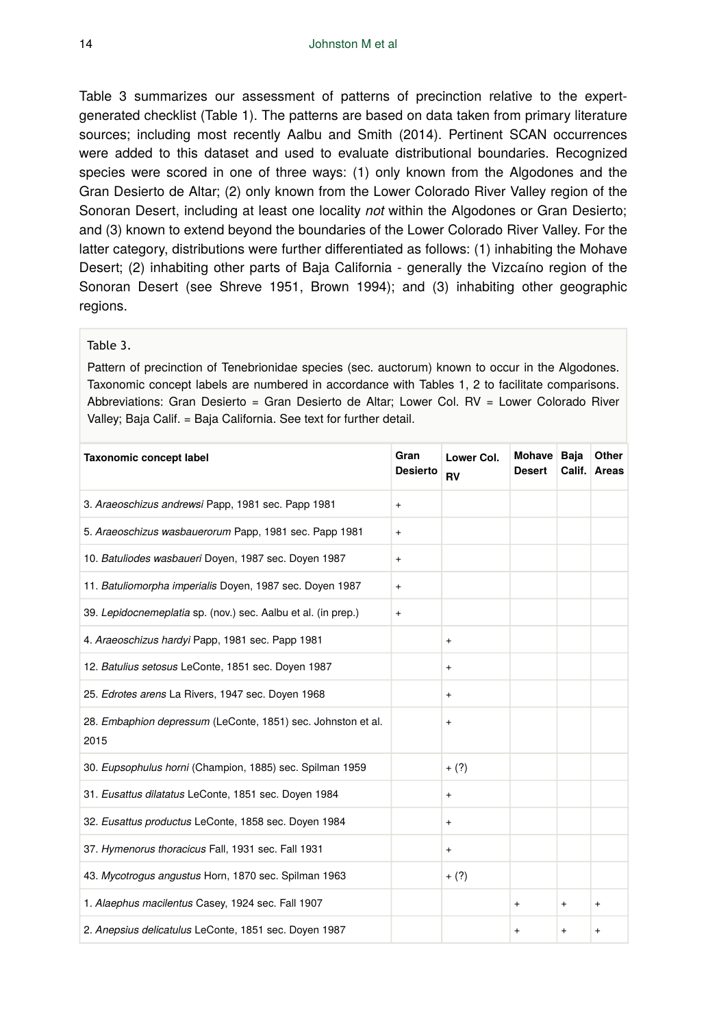Table 3 summarizes our assessment of patterns of precinction relative to the expertgenerated checklist (Table 1). The patterns are based on data taken from primary literature sources; including most recently Aalbu and Smith (2014). Pertinent SCAN occurrences were added to this dataset and used to evaluate distributional boundaries. Recognized species were scored in one of three ways: (1) only known from the Algodones and the Gran Desierto de Altar; (2) only known from the Lower Colorado River Valley region of the Sonoran Desert, including at least one locality *not* within the Algodones or Gran Desierto; and (3) known to extend beyond the boundaries of the Lower Colorado River Valley. For the latter category, distributions were further differentiated as follows: (1) inhabiting the Mohave Desert; (2) inhabiting other parts of Baja California - generally the Vizcaíno region of the Sonoran Desert (see Shreve 1951, Brown 1994); and (3) inhabiting other geographic regions.

#### Table 3.

Pattern of precinction of Tenebrionidae species (sec. auctorum) known to occur in the Algodones. Taxonomic concept labels are numbered in accordance with Tables 1, 2 to facilitate comparisons. Abbreviations: Gran Desierto = Gran Desierto de Altar; Lower Col. RV = Lower Colorado River Valley; Baja Calif. = Baja California. See text for further detail.

| <b>Taxonomic concept label</b>                                       | Gran<br><b>Desierto</b>          | Lower Col.<br><b>RV</b> | <b>Mohave</b><br><b>Desert</b> | Baja<br>Calif. | Other<br>Areas |
|----------------------------------------------------------------------|----------------------------------|-------------------------|--------------------------------|----------------|----------------|
| 3. Araeoschizus andrewsi Papp, 1981 sec. Papp 1981                   | $\ddot{}$                        |                         |                                |                |                |
| 5. Araeoschizus wasbauerorum Papp, 1981 sec. Papp 1981               | $\ddot{}$                        |                         |                                |                |                |
| 10. Batuliodes wasbaueri Doyen, 1987 sec. Doyen 1987                 | $\ddot{}$                        |                         |                                |                |                |
| 11. Batuliomorpha imperialis Doyen, 1987 sec. Doyen 1987             | $\ddot{}$                        |                         |                                |                |                |
| 39. Lepidocnemeplatia sp. (nov.) sec. Aalbu et al. (in prep.)        | $\begin{array}{c} + \end{array}$ |                         |                                |                |                |
| 4. Araeoschizus hardyi Papp, 1981 sec. Papp 1981                     |                                  | $\ddot{}$               |                                |                |                |
| 12. Batulius setosus LeConte, 1851 sec. Doyen 1987                   |                                  | $\ddot{}$               |                                |                |                |
| 25. Edrotes arens La Rivers, 1947 sec. Doyen 1968                    |                                  | $\ddot{}$               |                                |                |                |
| 28. Embaphion depressum (LeConte, 1851) sec. Johnston et al.<br>2015 |                                  | $\ddot{}$               |                                |                |                |
| 30. Eupsophulus horni (Champion, 1885) sec. Spilman 1959             |                                  | $+ (?)$                 |                                |                |                |
| 31. Eusattus dilatatus LeConte, 1851 sec. Doyen 1984                 |                                  | $\ddot{}$               |                                |                |                |
| 32. Eusattus productus LeConte, 1858 sec. Doyen 1984                 |                                  | $\ddot{}$               |                                |                |                |
| 37. Hymenorus thoracicus Fall, 1931 sec. Fall 1931                   |                                  | $\ddot{}$               |                                |                |                |
| 43. Mycotrogus angustus Horn, 1870 sec. Spilman 1963                 |                                  | $+ (?)$                 |                                |                |                |
| 1. Alaephus macilentus Casey, 1924 sec. Fall 1907                    |                                  |                         | $+$                            | $\ddot{}$      | $\ddot{}$      |
| 2. Anepsius delicatulus LeConte, 1851 sec. Doyen 1987                |                                  |                         | $\ddot{}$                      | $\ddot{}$      | $\ddot{}$      |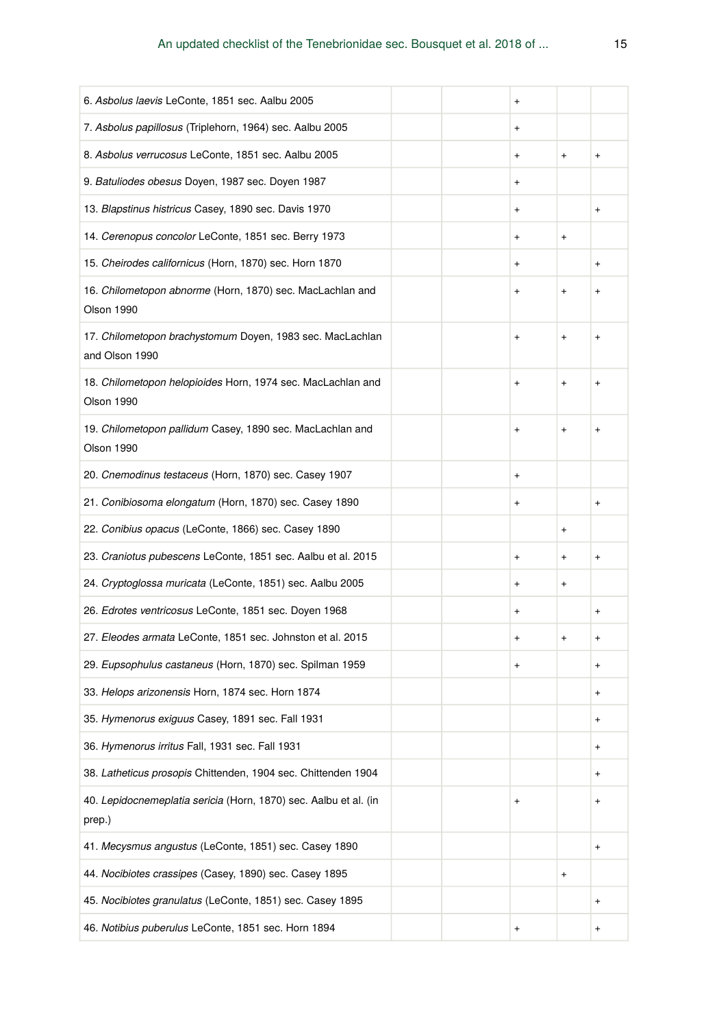| 6. Asbolus laevis LeConte, 1851 sec. Aalbu 2005                             |  | $\ddot{}$ |                                  |           |
|-----------------------------------------------------------------------------|--|-----------|----------------------------------|-----------|
| 7. Asbolus papillosus (Triplehorn, 1964) sec. Aalbu 2005                    |  | $\ddot{}$ |                                  |           |
| 8. Asbolus verrucosus LeConte, 1851 sec. Aalbu 2005                         |  | $\ddot{}$ | $\ddot{}$                        | $\ddot{}$ |
| 9. Batuliodes obesus Doyen, 1987 sec. Doyen 1987                            |  | $\ddot{}$ |                                  |           |
| 13. Blapstinus histricus Casey, 1890 sec. Davis 1970                        |  | $\ddot{}$ |                                  | $\ddot{}$ |
| 14. Cerenopus concolor LeConte, 1851 sec. Berry 1973                        |  | $\ddot{}$ | $\begin{array}{c} + \end{array}$ |           |
| 15. Cheirodes californicus (Horn, 1870) sec. Horn 1870                      |  | $\ddot{}$ |                                  | $\ddot{}$ |
| 16. Chilometopon abnorme (Horn, 1870) sec. MacLachlan and<br>Olson 1990     |  | $\ddot{}$ | $\ddot{}$                        | $^{+}$    |
| 17. Chilometopon brachystomum Doyen, 1983 sec. MacLachlan<br>and Olson 1990 |  | $\ddot{}$ | $\begin{array}{c} + \end{array}$ | $\ddot{}$ |
| 18. Chilometopon helopioides Horn, 1974 sec. MacLachlan and<br>Olson 1990   |  | $\ddot{}$ | $\begin{array}{c} + \end{array}$ | $\ddot{}$ |
| 19. Chilometopon pallidum Casey, 1890 sec. MacLachlan and<br>Olson 1990     |  | $\ddot{}$ | $\ddot{}$                        | $\ddot{}$ |
| 20. Cnemodinus testaceus (Horn, 1870) sec. Casey 1907                       |  | +         |                                  |           |
| 21. Conibiosoma elongatum (Horn, 1870) sec. Casey 1890                      |  | +         |                                  | +         |
| 22. Conibius opacus (LeConte, 1866) sec. Casey 1890                         |  |           | $\begin{array}{c} + \end{array}$ |           |
| 23. Craniotus pubescens LeConte, 1851 sec. Aalbu et al. 2015                |  | $\ddot{}$ | $\ddot{}$                        | $\ddot{}$ |
| 24. Cryptoglossa muricata (LeConte, 1851) sec. Aalbu 2005                   |  | +         | $\begin{array}{c} + \end{array}$ |           |
| 26. Edrotes ventricosus LeConte, 1851 sec. Doyen 1968                       |  | $\ddot{}$ |                                  | $\ddot{}$ |
| 27. Eleodes armata LeConte, 1851 sec. Johnston et al. 2015                  |  | +         | $\begin{array}{c} + \end{array}$ | $\ddot{}$ |
| 29. Eupsophulus castaneus (Horn, 1870) sec. Spilman 1959                    |  | +         |                                  | $\ddot{}$ |
| 33. Helops arizonensis Horn, 1874 sec. Horn 1874                            |  |           |                                  | $\ddot{}$ |
| 35. Hymenorus exiguus Casey, 1891 sec. Fall 1931                            |  |           |                                  | $\ddot{}$ |
| 36. Hymenorus irritus Fall, 1931 sec. Fall 1931                             |  |           |                                  | $\ddot{}$ |
| 38. Latheticus prosopis Chittenden, 1904 sec. Chittenden 1904               |  |           |                                  | $\ddot{}$ |
| 40. Lepidocnemeplatia sericia (Horn, 1870) sec. Aalbu et al. (in<br>prep.)  |  | $\ddot{}$ |                                  | $\ddot{}$ |
| 41. Mecysmus angustus (LeConte, 1851) sec. Casey 1890                       |  |           |                                  | $\ddot{}$ |
| 44. Nocibiotes crassipes (Casey, 1890) sec. Casey 1895                      |  |           | $\begin{array}{c} + \end{array}$ |           |
| 45. Nocibiotes granulatus (LeConte, 1851) sec. Casey 1895                   |  |           |                                  | $\ddot{}$ |
| 46. Notibius puberulus LeConte, 1851 sec. Horn 1894                         |  | $\ddot{}$ |                                  | $\ddot{}$ |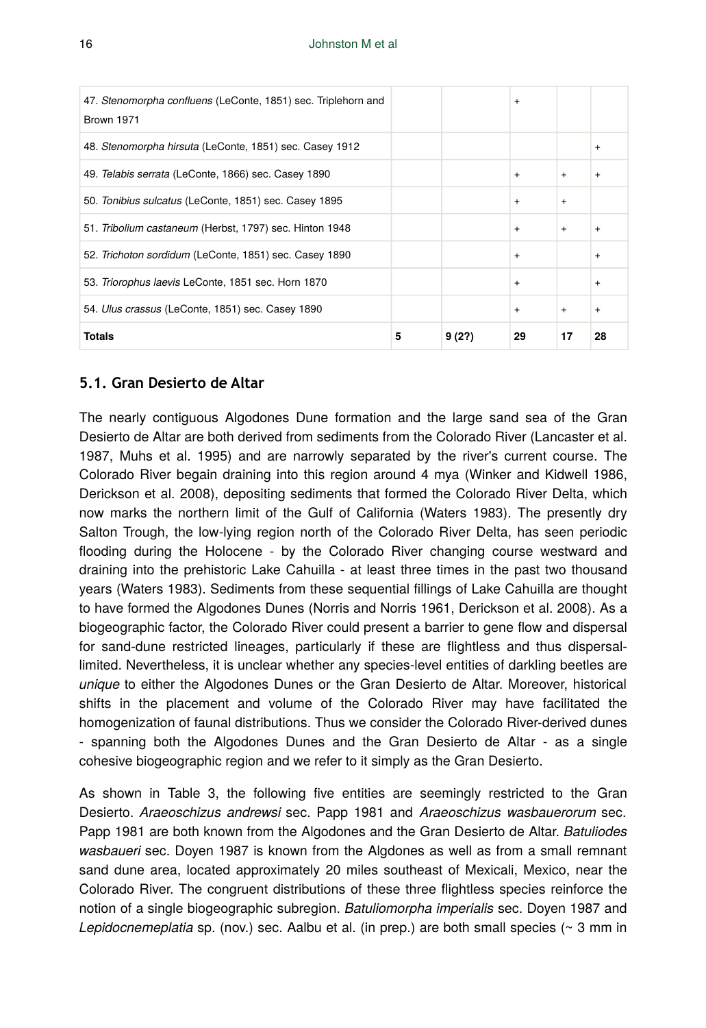| 47. Stenomorpha confluens (LeConte, 1851) sec. Triplehorn and<br>Brown 1971 |   |        | $+$       |           |           |
|-----------------------------------------------------------------------------|---|--------|-----------|-----------|-----------|
| 48. Stenomorpha hirsuta (LeConte, 1851) sec. Casey 1912                     |   |        |           |           | $+$       |
| 49. Telabis serrata (LeConte, 1866) sec. Casey 1890                         |   |        | $+$       | $\ddot{}$ | $\ddot{}$ |
| 50. Tonibius sulcatus (LeConte, 1851) sec. Casey 1895                       |   |        | $+$       | $\ddot{}$ |           |
| 51. Tribolium castaneum (Herbst, 1797) sec. Hinton 1948                     |   |        | $+$       | $+$       | $+$       |
| 52. Trichoton sordidum (LeConte, 1851) sec. Casey 1890                      |   |        | $\ddot{}$ |           | $+$       |
| 53. Triorophus laevis LeConte, 1851 sec. Horn 1870                          |   |        | $+$       |           | $+$       |
| 54. Ulus crassus (LeConte, 1851) sec. Casey 1890                            |   |        | $+$       | $+$       | $+$       |
| Totals                                                                      | 5 | 9 (2?) | 29        | 17        | 28        |

### **5.1. Gran Desierto de Altar**

The nearly contiguous Algodones Dune formation and the large sand sea of the Gran Desierto de Altar are both derived from sediments from the Colorado River (Lancaster et al. 1987, Muhs et al. 1995) and are narrowly separated by the river's current course. The Colorado River begain draining into this region around 4 mya (Winker and Kidwell 1986, Derickson et al. 2008), depositing sediments that formed the Colorado River Delta, which now marks the northern limit of the Gulf of California (Waters 1983). The presently dry Salton Trough, the low-lying region north of the Colorado River Delta, has seen periodic flooding during the Holocene - by the Colorado River changing course westward and draining into the prehistoric Lake Cahuilla - at least three times in the past two thousand years (Waters 1983). Sediments from these sequential fillings of Lake Cahuilla are thought to have formed the Algodones Dunes (Norris and Norris 1961, Derickson et al. 2008). As a biogeographic factor, the Colorado River could present a barrier to gene flow and dispersal for sand-dune restricted lineages, particularly if these are flightless and thus dispersallimited. Nevertheless, it is unclear whether any species-level entities of darkling beetles are *unique* to either the Algodones Dunes or the Gran Desierto de Altar. Moreover, historical shifts in the placement and volume of the Colorado River may have facilitated the homogenization of faunal distributions. Thus we consider the Colorado River-derived dunes - spanning both the Algodones Dunes and the Gran Desierto de Altar - as a single cohesive biogeographic region and we refer to it simply as the Gran Desierto.

As shown in Table 3, the following five entities are seemingly restricted to the Gran Desierto. *Araeoschizus andrewsi* sec. Papp 1981 and *Araeoschizus wasbauerorum* sec. Papp 1981 are both known from the Algodones and the Gran Desierto de Altar. *Batuliodes wasbaueri* sec. Doyen 1987 is known from the Algdones as well as from a small remnant sand dune area, located approximately 20 miles southeast of Mexicali, Mexico, near the Colorado River. The congruent distributions of these three flightless species reinforce the notion of a single biogeographic subregion. *Batuliomorpha imperialis* sec. Doyen 1987 and *Lepidocnemeplatia* sp. (nov.) sec. Aalbu et al. (in prep.) are both small species (~ 3 mm in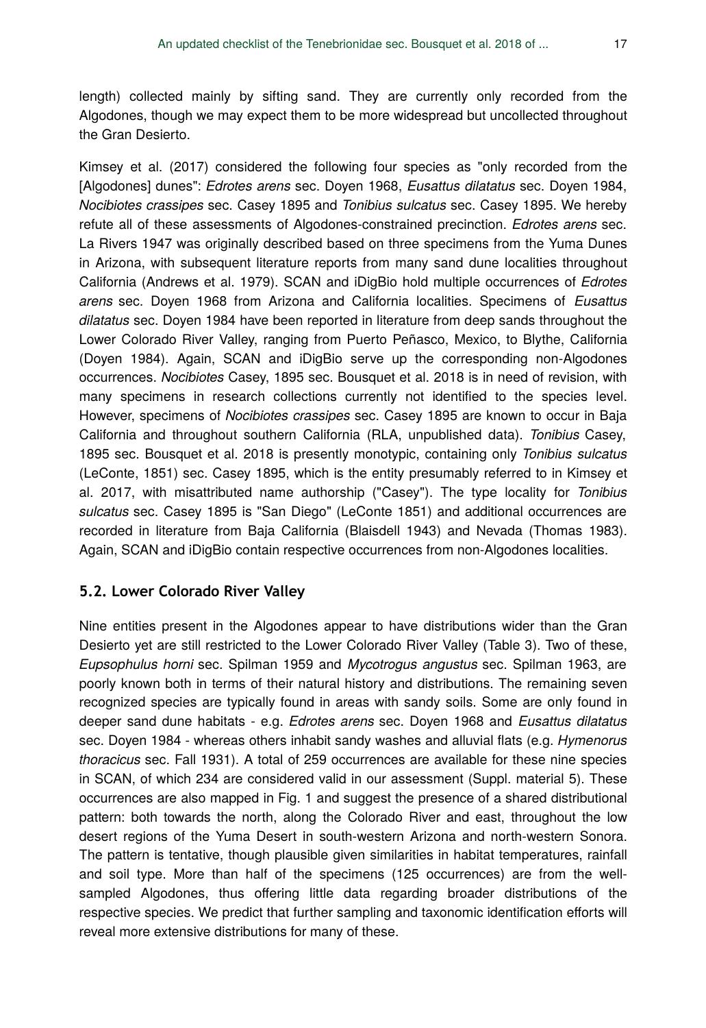length) collected mainly by sifting sand. They are currently only recorded from the Algodones, though we may expect them to be more widespread but uncollected throughout the Gran Desierto.

Kimsey et al. (2017) considered the following four species as "only recorded from the [Algodones] dunes": *Edrotes arens* sec. Doyen 1968, *Eusattus dilatatus* sec. Doyen 1984, *Nocibiotes crassipes* sec. Casey 1895 and *Tonibius sulcatus* sec. Casey 1895. We hereby refute all of these assessments of Algodones-constrained precinction. *Edrotes arens* sec. La Rivers 1947 was originally described based on three specimens from the Yuma Dunes in Arizona, with subsequent literature reports from many sand dune localities throughout California (Andrews et al. 1979). SCAN and iDigBio hold multiple occurrences of *Edrotes arens* sec. Doyen 1968 from Arizona and California localities. Specimens of *Eusattus dilatatus* sec. Doyen 1984 have been reported in literature from deep sands throughout the Lower Colorado River Valley, ranging from Puerto Peñasco, Mexico, to Blythe, California (Doyen 1984). Again, SCAN and iDigBio serve up the corresponding non-Algodones occurrences. *Nocibiotes* Casey, 1895 sec. Bousquet et al. 2018 is in need of revision, with many specimens in research collections currently not identified to the species level. However, specimens of *Nocibiotes crassipes* sec. Casey 1895 are known to occur in Baja California and throughout southern California (RLA, unpublished data). *Tonibius* Casey, 1895 sec. Bousquet et al. 2018 is presently monotypic, containing only *Tonibius sulcatus* (LeConte, 1851) sec. Casey 1895, which is the entity presumably referred to in Kimsey et al. 2017, with misattributed name authorship ("Casey"). The type locality for *Tonibius sulcatus* sec. Casey 1895 is "San Diego" (LeConte 1851) and additional occurrences are recorded in literature from Baja California (Blaisdell 1943) and Nevada (Thomas 1983). Again, SCAN and iDigBio contain respective occurrences from non-Algodones localities.

### **5.2. Lower Colorado River Valley**

Nine entities present in the Algodones appear to have distributions wider than the Gran Desierto yet are still restricted to the Lower Colorado River Valley (Table 3). Two of these, *Eupsophulus horni* sec. Spilman 1959 and *Mycotrogus angustus* sec. Spilman 1963, are poorly known both in terms of their natural history and distributions. The remaining seven recognized species are typically found in areas with sandy soils. Some are only found in deeper sand dune habitats - e.g. *Edrotes arens* sec. Doyen 1968 and *Eusattus dilatatus* sec. Doyen 1984 - whereas others inhabit sandy washes and alluvial flats (e.g. *Hymenorus thoracicus* sec. Fall 1931). A total of 259 occurrences are available for these nine species in SCAN, of which 234 are considered valid in our assessment (Suppl. material 5). These occurrences are also mapped in Fig. 1 and suggest the presence of a shared distributional pattern: both towards the north, along the Colorado River and east, throughout the low desert regions of the Yuma Desert in south-western Arizona and north-western Sonora. The pattern is tentative, though plausible given similarities in habitat temperatures, rainfall and soil type. More than half of the specimens (125 occurrences) are from the wellsampled Algodones, thus offering little data regarding broader distributions of the respective species. We predict that further sampling and taxonomic identification efforts will reveal more extensive distributions for many of these.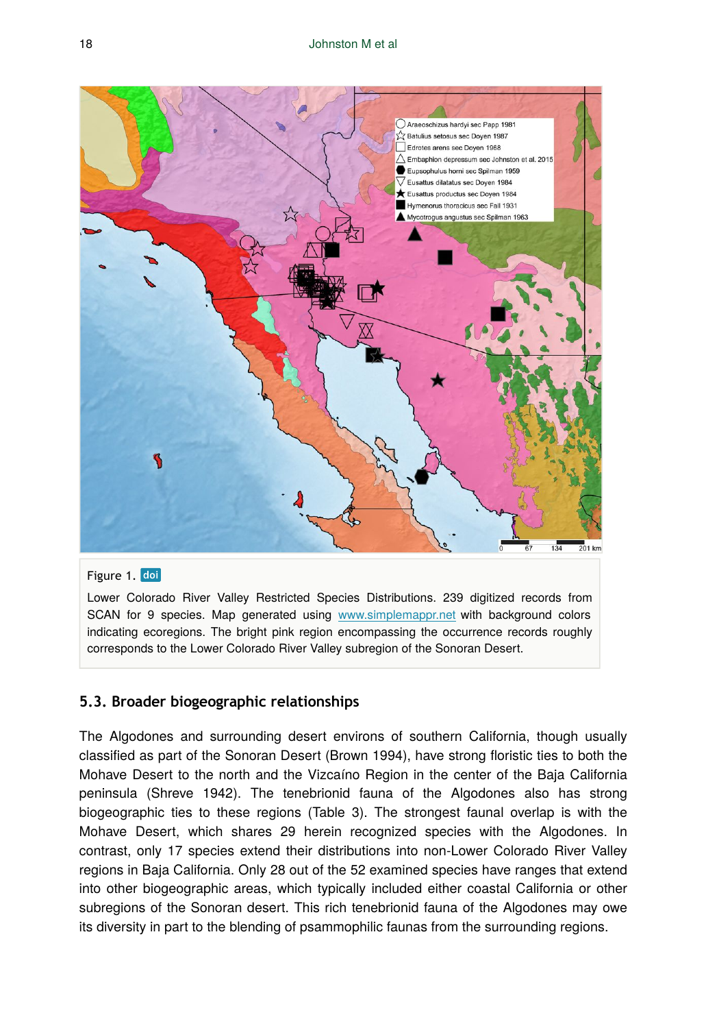

#### Figure 1. doi

Lower Colorado River Valley Restricted Species Distributions. 239 digitized records from SCAN for 9 species. Map generated using [www.simplemappr.net](http://www.simplemappr.net) with background colors indicating ecoregions. The bright pink region encompassing the occurrence records roughly corresponds to the Lower Colorado River Valley subregion of the Sonoran Desert.

### **5.3. Broader biogeographic relationships**

The Algodones and surrounding desert environs of southern California, though usually classified as part of the Sonoran Desert (Brown 1994), have strong floristic ties to both the Mohave Desert to the north and the Vizcaíno Region in the center of the Baja California peninsula (Shreve 1942). The tenebrionid fauna of the Algodones also has strong biogeographic ties to these regions (Table 3). The strongest faunal overlap is with the Mohave Desert, which shares 29 herein recognized species with the Algodones. In contrast, only 17 species extend their distributions into non-Lower Colorado River Valley regions in Baja California. Only 28 out of the 52 examined species have ranges that extend into other biogeographic areas, which typically included either coastal California or other subregions of the Sonoran desert. This rich tenebrionid fauna of the Algodones may owe its diversity in part to the blending of psammophilic faunas from the surrounding regions.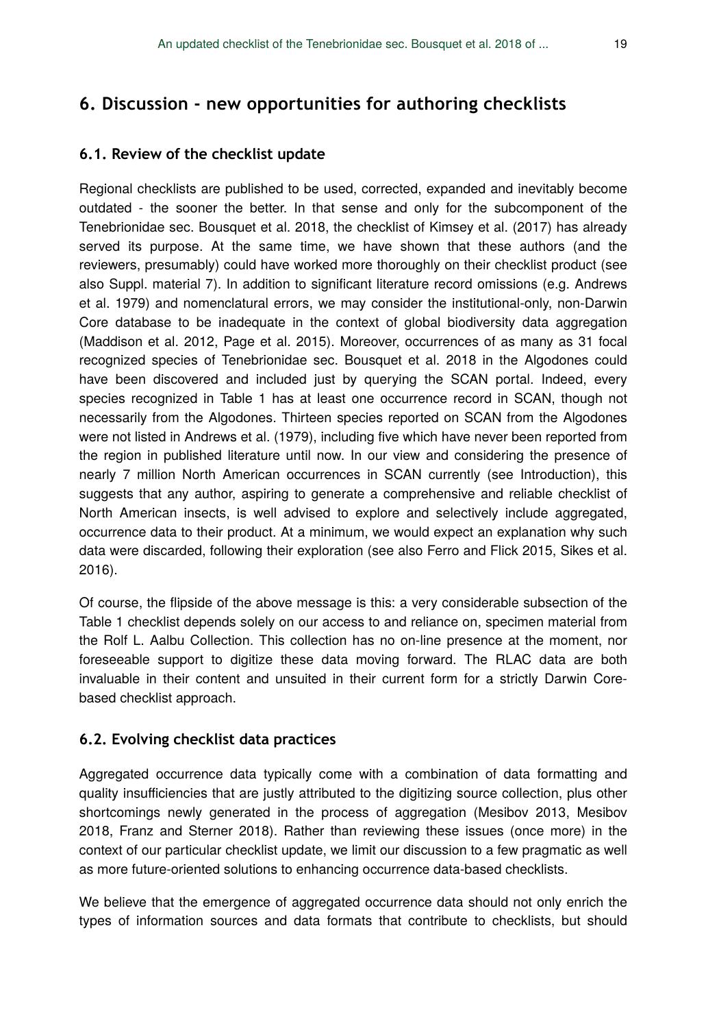# **6.1. Review of the checklist update**

Regional checklists are published to be used, corrected, expanded and inevitably become outdated - the sooner the better. In that sense and only for the subcomponent of the Tenebrionidae sec. Bousquet et al. 2018, the checklist of Kimsey et al. (2017) has already served its purpose. At the same time, we have shown that these authors (and the reviewers, presumably) could have worked more thoroughly on their checklist product (see also Suppl. material 7). In addition to significant literature record omissions (e.g. Andrews et al. 1979) and nomenclatural errors, we may consider the institutional-only, non-Darwin Core database to be inadequate in the context of global biodiversity data aggregation (Maddison et al. 2012, Page et al. 2015). Moreover, occurrences of as many as 31 focal recognized species of Tenebrionidae sec. Bousquet et al. 2018 in the Algodones could have been discovered and included just by querying the SCAN portal. Indeed, every species recognized in Table 1 has at least one occurrence record in SCAN, though not necessarily from the Algodones. Thirteen species reported on SCAN from the Algodones were not listed in Andrews et al. (1979), including five which have never been reported from the region in published literature until now. In our view and considering the presence of nearly 7 million North American occurrences in SCAN currently (see Introduction), this suggests that any author, aspiring to generate a comprehensive and reliable checklist of North American insects, is well advised to explore and selectively include aggregated, occurrence data to their product. At a minimum, we would expect an explanation why such data were discarded, following their exploration (see also Ferro and Flick 2015, Sikes et al. 2016).

Of course, the flipside of the above message is this: a very considerable subsection of the Table 1 checklist depends solely on our access to and reliance on, specimen material from the Rolf L. Aalbu Collection. This collection has no on-line presence at the moment, nor foreseeable support to digitize these data moving forward. The RLAC data are both invaluable in their content and unsuited in their current form for a strictly Darwin Corebased checklist approach.

# **6.2. Evolving checklist data practices**

Aggregated occurrence data typically come with a combination of data formatting and quality insufficiencies that are justly attributed to the digitizing source collection, plus other shortcomings newly generated in the process of aggregation (Mesibov 2013, Mesibov 2018, Franz and Sterner 2018). Rather than reviewing these issues (once more) in the context of our particular checklist update, we limit our discussion to a few pragmatic as well as more future-oriented solutions to enhancing occurrence data-based checklists.

We believe that the emergence of aggregated occurrence data should not only enrich the types of information sources and data formats that contribute to checklists, but should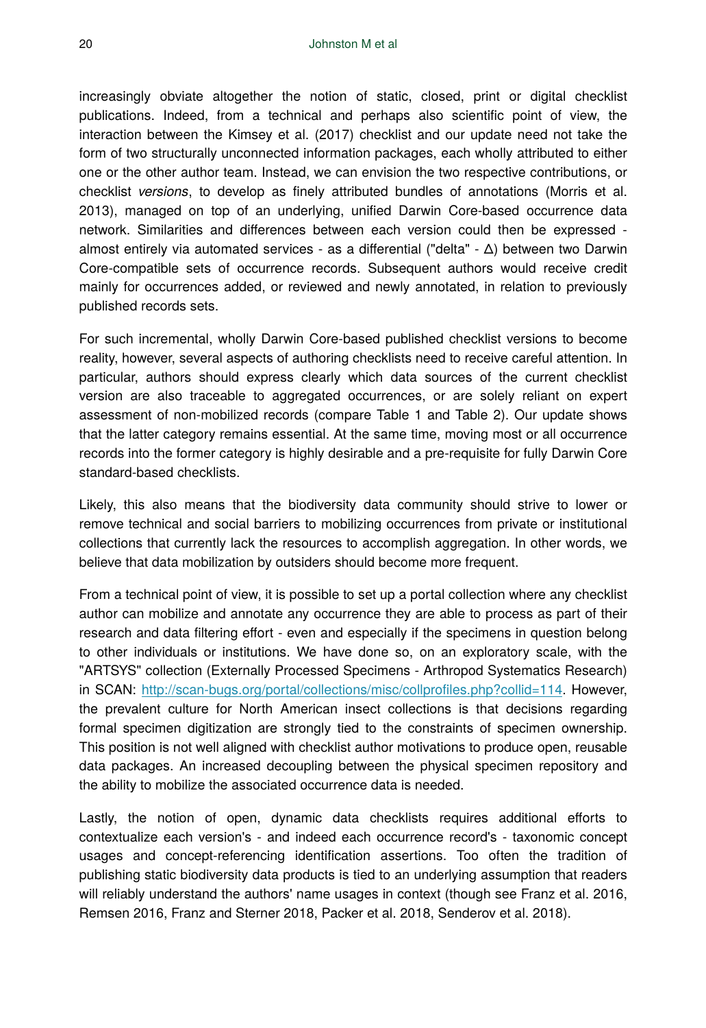increasingly obviate altogether the notion of static, closed, print or digital checklist publications. Indeed, from a technical and perhaps also scientific point of view, the interaction between the Kimsey et al. (2017) checklist and our update need not take the form of two structurally unconnected information packages, each wholly attributed to either one or the other author team. Instead, we can envision the two respective contributions, or checklist *versions*, to develop as finely attributed bundles of annotations (Morris et al. 2013), managed on top of an underlying, unified Darwin Core-based occurrence data network. Similarities and differences between each version could then be expressed almost entirely via automated services - as a differential ("delta" - Δ) between two Darwin Core-compatible sets of occurrence records. Subsequent authors would receive credit mainly for occurrences added, or reviewed and newly annotated, in relation to previously published records sets.

For such incremental, wholly Darwin Core-based published checklist versions to become reality, however, several aspects of authoring checklists need to receive careful attention. In particular, authors should express clearly which data sources of the current checklist version are also traceable to aggregated occurrences, or are solely reliant on expert assessment of non-mobilized records (compare Table 1 and Table 2). Our update shows that the latter category remains essential. At the same time, moving most or all occurrence records into the former category is highly desirable and a pre-requisite for fully Darwin Core standard-based checklists.

Likely, this also means that the biodiversity data community should strive to lower or remove technical and social barriers to mobilizing occurrences from private or institutional collections that currently lack the resources to accomplish aggregation. In other words, we believe that data mobilization by outsiders should become more frequent.

From a technical point of view, it is possible to set up a portal collection where any checklist author can mobilize and annotate any occurrence they are able to process as part of their research and data filtering effort - even and especially if the specimens in question belong to other individuals or institutions. We have done so, on an exploratory scale, with the "ARTSYS" collection (Externally Processed Specimens - Arthropod Systematics Research) in SCAN: [http://scan-bugs.org/portal/collections/misc/collpro](http://scan-bugs.org/portal/collections/misc/collprofiles.php?collid=114)files.php?collid=114. However, the prevalent culture for North American insect collections is that decisions regarding formal specimen digitization are strongly tied to the constraints of specimen ownership. This position is not well aligned with checklist author motivations to produce open, reusable data packages. An increased decoupling between the physical specimen repository and the ability to mobilize the associated occurrence data is needed.

Lastly, the notion of open, dynamic data checklists requires additional efforts to contextualize each version's - and indeed each occurrence record's - taxonomic concept usages and concept-referencing identification assertions. Too often the tradition of publishing static biodiversity data products is tied to an underlying assumption that readers will reliably understand the authors' name usages in context (though see Franz et al. 2016, Remsen 2016, Franz and Sterner 2018, Packer et al. 2018, Senderov et al. 2018).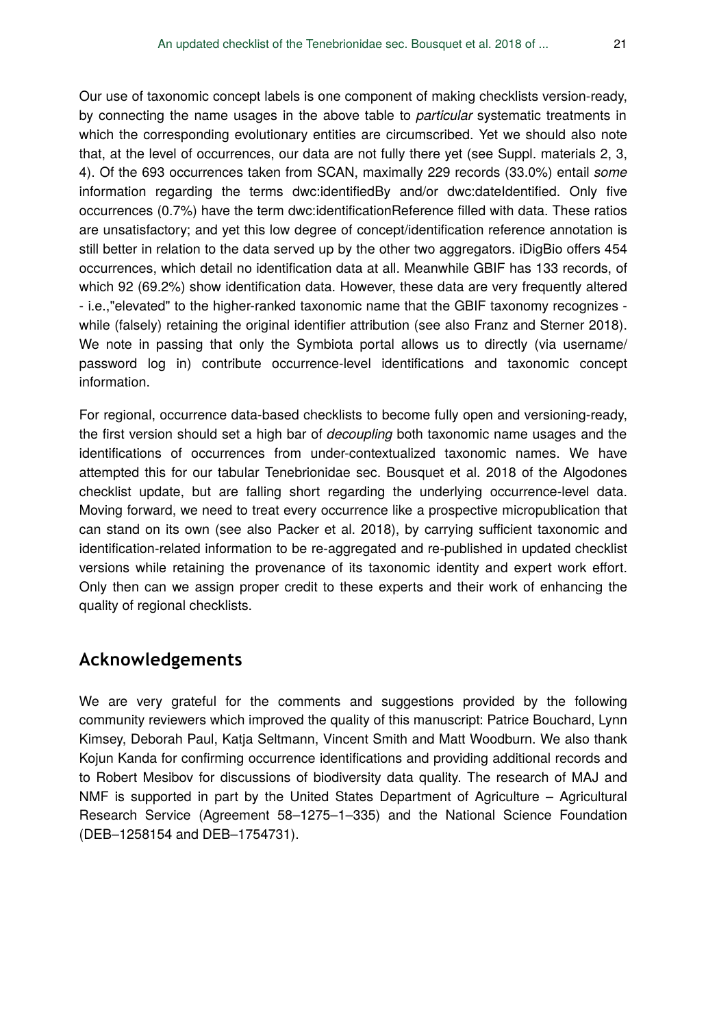Our use of taxonomic concept labels is one component of making checklists version-ready, by connecting the name usages in the above table to *particular* systematic treatments in which the corresponding evolutionary entities are circumscribed. Yet we should also note that, at the level of occurrences, our data are not fully there yet (see Suppl. materials 2, 3, 4). Of the 693 occurrences taken from SCAN, maximally 229 records (33.0%) entail *some* information regarding the terms dwc:identifiedBy and/or dwc:dateIdentified. Only five occurrences (0.7%) have the term dwc:identificationReference filled with data. These ratios are unsatisfactory; and yet this low degree of concept/identification reference annotation is still better in relation to the data served up by the other two aggregators. iDigBio offers 454 occurrences, which detail no identification data at all. Meanwhile GBIF has 133 records, of which 92 (69.2%) show identification data. However, these data are very frequently altered - i.e.,"elevated" to the higher-ranked taxonomic name that the GBIF taxonomy recognizes while (falsely) retaining the original identifier attribution (see also Franz and Sterner 2018). We note in passing that only the Symbiota portal allows us to directly (via username/ password log in) contribute occurrence-level identifications and taxonomic concept information.

For regional, occurrence data-based checklists to become fully open and versioning-ready, the first version should set a high bar of *decoupling* both taxonomic name usages and the identifications of occurrences from under-contextualized taxonomic names. We have attempted this for our tabular Tenebrionidae sec. Bousquet et al. 2018 of the Algodones checklist update, but are falling short regarding the underlying occurrence-level data. Moving forward, we need to treat every occurrence like a prospective micropublication that can stand on its own (see also Packer et al. 2018), by carrying sufficient taxonomic and identification-related information to be re-aggregated and re-published in updated checklist versions while retaining the provenance of its taxonomic identity and expert work effort. Only then can we assign proper credit to these experts and their work of enhancing the quality of regional checklists.

# **Acknowledgements**

We are very grateful for the comments and suggestions provided by the following community reviewers which improved the quality of this manuscript: Patrice Bouchard, Lynn Kimsey, Deborah Paul, Katja Seltmann, Vincent Smith and Matt Woodburn. We also thank Kojun Kanda for confirming occurrence identifications and providing additional records and to Robert Mesibov for discussions of biodiversity data quality. The research of MAJ and NMF is supported in part by the United States Department of Agriculture – Agricultural Research Service (Agreement 58–1275–1–335) and the National Science Foundation (DEB–1258154 and DEB–1754731).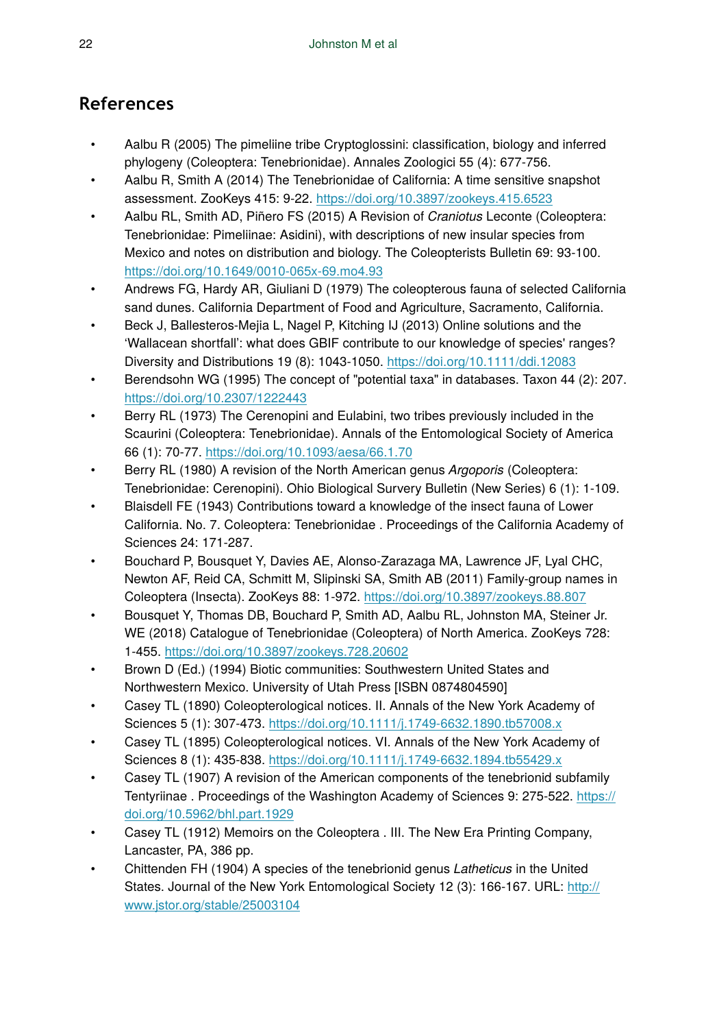# **References**

- Aalbu R (2005) The pimeliine tribe Cryptoglossini: classification, biology and inferred phylogeny (Coleoptera: Tenebrionidae). Annales Zoologici 55 (4): 677‑756.
- Aalbu R, Smith A (2014) The Tenebrionidae of California: A time sensitive snapshot assessment. ZooKeys 415: 9‑22.<https://doi.org/10.3897/zookeys.415.6523>
- Aalbu RL, Smith AD, Piñero FS (2015) A Revision of *Craniotus* Leconte (Coleoptera: Tenebrionidae: Pimeliinae: Asidini), with descriptions of new insular species from Mexico and notes on distribution and biology. The Coleopterists Bulletin 69: 93-100. <https://doi.org/10.1649/0010-065x-69.mo4.93>
- Andrews FG, Hardy AR, Giuliani D (1979) The coleopterous fauna of selected California sand dunes. California Department of Food and Agriculture, Sacramento, California.
- Beck J, Ballesteros-Mejia L, Nagel P, Kitching IJ (2013) Online solutions and the 'Wallacean shortfall': what does GBIF contribute to our knowledge of species' ranges? Diversity and Distributions 19 (8): 1043‑1050.<https://doi.org/10.1111/ddi.12083>
- Berendsohn WG (1995) The concept of "potential taxa" in databases. Taxon 44 (2): 207. <https://doi.org/10.2307/1222443>
- Berry RL (1973) The Cerenopini and Eulabini, two tribes previously included in the Scaurini (Coleoptera: Tenebrionidae). Annals of the Entomological Society of America 66 (1): 70‑77.<https://doi.org/10.1093/aesa/66.1.70>
- Berry RL (1980) A revision of the North American genus *Argoporis* (Coleoptera: Tenebrionidae: Cerenopini). Ohio Biological Survery Bulletin (New Series) 6 (1): 1‑109.
- Blaisdell FE (1943) Contributions toward a knowledge of the insect fauna of Lower California. No. 7. Coleoptera: Tenebrionidae . Proceedings of the California Academy of Sciences 24: 171‑287.
- Bouchard P, Bousquet Y, Davies AE, Alonso-Zarazaga MA, Lawrence JF, Lyal CHC, Newton AF, Reid CA, Schmitt M, Slipinski SA, Smith AB (2011) Family-group names in Coleoptera (Insecta). ZooKeys 88: 1‑972.<https://doi.org/10.3897/zookeys.88.807>
- Bousquet Y, Thomas DB, Bouchard P, Smith AD, Aalbu RL, Johnston MA, Steiner Jr. WE (2018) Catalogue of Tenebrionidae (Coleoptera) of North America. ZooKeys 728: 1‑455.<https://doi.org/10.3897/zookeys.728.20602>
- Brown D (Ed.) (1994) Biotic communities: Southwestern United States and Northwestern Mexico. University of Utah Press [ISBN 0874804590]
- Casey TL (1890) Coleopterological notices. II. Annals of the New York Academy of Sciences 5 (1): 307‑473.<https://doi.org/10.1111/j.1749-6632.1890.tb57008.x>
- Casey TL (1895) Coleopterological notices. VI. Annals of the New York Academy of Sciences 8 (1): 435‑838.<https://doi.org/10.1111/j.1749-6632.1894.tb55429.x>
- Casey TL (1907) A revision of the American components of the tenebrionid subfamily Tentyriinae . Proceedings of the Washington Academy of Sciences 9: 275-522. [https://](https://doi.org/10.5962/bhl.part.1929) [doi.org/10.5962/bhl.part.1929](https://doi.org/10.5962/bhl.part.1929)
- Casey TL (1912) Memoirs on the Coleoptera . III. The New Era Printing Company, Lancaster, PA, 386 pp.
- Chittenden FH (1904) A species of the tenebrionid genus *Latheticus* in the United States. Journal of the New York Entomological Society 12 (3): 166-167. URL: [http://](http://www.jstor.org/stable/25003104) [www.jstor.org/stable/25003104](http://www.jstor.org/stable/25003104)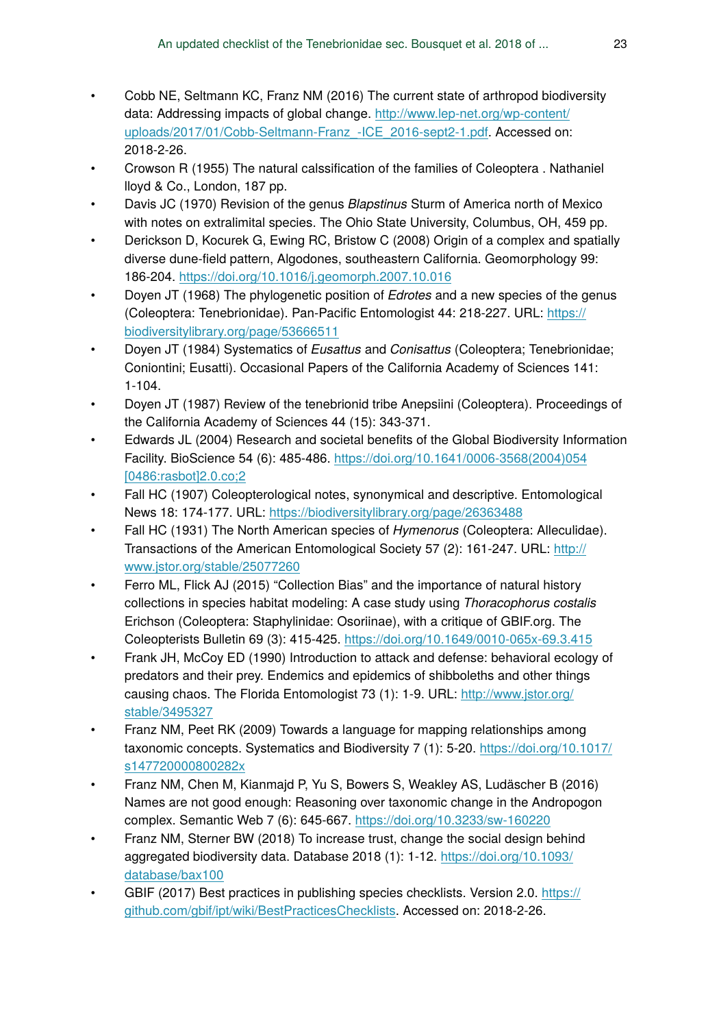- Cobb NE, Seltmann KC, Franz NM (2016) The current state of arthropod biodiversity data: Addressing impacts of global change. [http://www.lep-net.org/wp-content/](http://www.lep-net.org/wp-content/uploads/2017/01/Cobb-Seltmann-Franz_-ICE_2016-sept2-1.pdf) [uploads/2017/01/Cobb-Seltmann-Franz\\_-ICE\\_2016-sept2-1.pdf](http://www.lep-net.org/wp-content/uploads/2017/01/Cobb-Seltmann-Franz_-ICE_2016-sept2-1.pdf). Accessed on: 2018-2-26.
- Crowson R (1955) The natural calssification of the families of Coleoptera . Nathaniel lloyd & Co., London, 187 pp.
- Davis JC (1970) Revision of the genus *Blapstinus* Sturm of America north of Mexico with notes on extralimital species. The Ohio State University, Columbus, OH, 459 pp.
- Derickson D, Kocurek G, Ewing RC, Bristow C (2008) Origin of a complex and spatially diverse dune-field pattern, Algodones, southeastern California. Geomorphology 99: 186‑204. <https://doi.org/10.1016/j.geomorph.2007.10.016>
- Doyen JT (1968) The phylogenetic position of *Edrotes* and a new species of the genus (Coleoptera: Tenebrionidae). Pan-Pacific Entomologist 44: 218‑227. URL: [https://](https://biodiversitylibrary.org/page/53666511) [biodiversitylibrary.org/page/53666511](https://biodiversitylibrary.org/page/53666511)
- Doyen JT (1984) Systematics of *Eusattus* and *Conisattus* (Coleoptera; Tenebrionidae; Coniontini; Eusatti). Occasional Papers of the California Academy of Sciences 141:  $1 - 104.$
- Doyen JT (1987) Review of the tenebrionid tribe Anepsiini (Coleoptera). Proceedings of the California Academy of Sciences 44 (15): 343‑371.
- Edwards JL (2004) Research and societal benefits of the Global Biodiversity Information Facility. BioScience 54 (6): 485‑486. [https://doi.org/10.1641/0006-3568\(2004\)054](https://doi.org/10.1641/0006-3568(2004)054%5B0486:rasbot%5D2.0.co;2) [\[0486:rasbot\]2.0.co;2](https://doi.org/10.1641/0006-3568(2004)054%5B0486:rasbot%5D2.0.co;2)
- Fall HC (1907) Coleopterological notes, synonymical and descriptive. Entomological News 18: 174‑177. URL:<https://biodiversitylibrary.org/page/26363488>
- Fall HC (1931) The North American species of *Hymenorus* (Coleoptera: Alleculidae). Transactions of the American Entomological Society 57 (2): 161-247. URL: [http://](http://www.jstor.org/stable/25077260) [www.jstor.org/stable/25077260](http://www.jstor.org/stable/25077260)
- Ferro ML, Flick AJ (2015) "Collection Bias" and the importance of natural history collections in species habitat modeling: A case study using *Thoracophorus costalis* Erichson (Coleoptera: Staphylinidae: Osoriinae), with a critique of GBIF.org. The Coleopterists Bulletin 69 (3): 415‑425.<https://doi.org/10.1649/0010-065x-69.3.415>
- Frank JH, McCoy ED (1990) Introduction to attack and defense: behavioral ecology of predators and their prey. Endemics and epidemics of shibboleths and other things causing chaos. The Florida Entomologist 73 (1): 1-9. URL: [http://www.jstor.org/](http://www.jstor.org/stable/3495327) [stable/3495327](http://www.jstor.org/stable/3495327)
- Franz NM, Peet RK (2009) Towards a language for mapping relationships among taxonomic concepts. Systematics and Biodiversity 7 (1): 5‑20. [https://doi.org/10.1017/](https://doi.org/10.1017/s147720000800282x) [s147720000800282x](https://doi.org/10.1017/s147720000800282x)
- Franz NM, Chen M, Kianmajd P, Yu S, Bowers S, Weakley AS, Ludäscher B (2016) Names are not good enough: Reasoning over taxonomic change in the Andropogon complex. Semantic Web 7 (6): 645‑667.<https://doi.org/10.3233/sw-160220>
- Franz NM, Sterner BW (2018) To increase trust, change the social design behind aggregated biodiversity data. Database 2018 (1): 1‑12. [https://doi.org/10.1093/](https://doi.org/10.1093/database/bax100) [database/bax100](https://doi.org/10.1093/database/bax100)
- GBIF (2017) Best practices in publishing species checklists. Version 2.0. [https://](https://github.com/gbif/ipt/wiki/BestPracticesChecklists) [github.com/gbif/ipt/wiki/BestPracticesChecklists.](https://github.com/gbif/ipt/wiki/BestPracticesChecklists) Accessed on: 2018-2-26.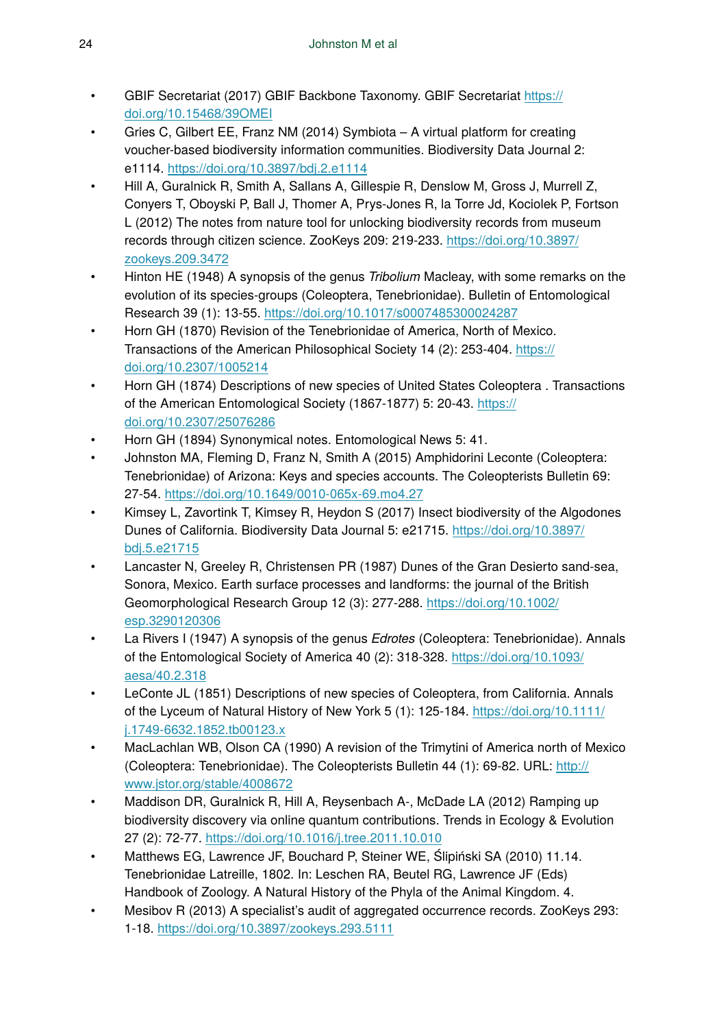- GBIF Secretariat (2017) GBIF Backbone Taxonomy. GBIF Secretariat [https://](https://doi.org/10.15468/39OMEI) [doi.org/10.15468/39OMEI](https://doi.org/10.15468/39OMEI)
- Gries C, Gilbert EE, Franz NM (2014) Symbiota A virtual platform for creating voucher-based biodiversity information communities. Biodiversity Data Journal 2: e1114. <https://doi.org/10.3897/bdj.2.e1114>
- Hill A, Guralnick R, Smith A, Sallans A, Gillespie R, Denslow M, Gross J, Murrell Z, Conyers T, Oboyski P, Ball J, Thomer A, Prys-Jones R, la Torre Jd, Kociolek P, Fortson L (2012) The notes from nature tool for unlocking biodiversity records from museum records through citizen science. ZooKeys 209: 219‑233. [https://doi.org/10.3897/](https://doi.org/10.3897/zookeys.209.3472) [zookeys.209.3472](https://doi.org/10.3897/zookeys.209.3472)
- Hinton HE (1948) A synopsis of the genus *Tribolium* Macleay, with some remarks on the evolution of its species-groups (Coleoptera, Tenebrionidae). Bulletin of Entomological Research 39 (1): 13‑55.<https://doi.org/10.1017/s0007485300024287>
- Horn GH (1870) Revision of the Tenebrionidae of America, North of Mexico. Transactions of the American Philosophical Society 14 (2): 253‑404. [https://](https://doi.org/10.2307/1005214) [doi.org/10.2307/1005214](https://doi.org/10.2307/1005214)
- Horn GH (1874) Descriptions of new species of United States Coleoptera . Transactions of the American Entomological Society (1867-1877) 5: 20-43. [https://](https://doi.org/10.2307/25076286) [doi.org/10.2307/25076286](https://doi.org/10.2307/25076286)
- Horn GH (1894) Synonymical notes. Entomological News 5: 41.
- Johnston MA, Fleming D, Franz N, Smith A (2015) Amphidorini Leconte (Coleoptera: Tenebrionidae) of Arizona: Keys and species accounts. The Coleopterists Bulletin 69: 27‑54.<https://doi.org/10.1649/0010-065x-69.mo4.27>
- Kimsey L, Zavortink T, Kimsey R, Heydon S (2017) Insect biodiversity of the Algodones Dunes of California. Biodiversity Data Journal 5: e21715. [https://doi.org/10.3897/](https://doi.org/10.3897/bdj.5.e21715) [bdj.5.e21715](https://doi.org/10.3897/bdj.5.e21715)
- Lancaster N, Greeley R, Christensen PR (1987) Dunes of the Gran Desierto sand-sea, Sonora, Mexico. Earth surface processes and landforms: the journal of the British Geomorphological Research Group 12 (3): 277-288. [https://doi.org/10.1002/](https://doi.org/10.1002/esp.3290120306) [esp.3290120306](https://doi.org/10.1002/esp.3290120306)
- La Rivers I (1947) A synopsis of the genus *Edrotes* (Coleoptera: Tenebrionidae). Annals of the Entomological Society of America 40 (2): 318‑328. [https://doi.org/10.1093/](https://doi.org/10.1093/aesa/40.2.318) [aesa/40.2.318](https://doi.org/10.1093/aesa/40.2.318)
- LeConte JL (1851) Descriptions of new species of Coleoptera, from California. Annals of the Lyceum of Natural History of New York 5 (1): 125-184. [https://doi.org/10.1111/](https://doi.org/10.1111/j.1749-6632.1852.tb00123.x) [j.1749-6632.1852.tb00123.x](https://doi.org/10.1111/j.1749-6632.1852.tb00123.x)
- MacLachlan WB, Olson CA (1990) A revision of the Trimytini of America north of Mexico (Coleoptera: Tenebrionidae). The Coleopterists Bulletin 44 (1): 69‑82. URL: [http://](http://www.jstor.org/stable/4008672) [www.jstor.org/stable/4008672](http://www.jstor.org/stable/4008672)
- Maddison DR, Guralnick R, Hill A, Reysenbach A-, McDade LA (2012) Ramping up biodiversity discovery via online quantum contributions. Trends in Ecology & Evolution 27 (2): 72‑77.<https://doi.org/10.1016/j.tree.2011.10.010>
- Matthews EG, Lawrence JF, Bouchard P, Steiner WE, Ślipiński SA (2010) 11.14. Tenebrionidae Latreille, 1802. In: Leschen RA, Beutel RG, Lawrence JF (Eds) Handbook of Zoology. A Natural History of the Phyla of the Animal Kingdom. 4.
- Mesibov R (2013) A specialist's audit of aggregated occurrence records. ZooKeys 293: 1‑18.<https://doi.org/10.3897/zookeys.293.5111>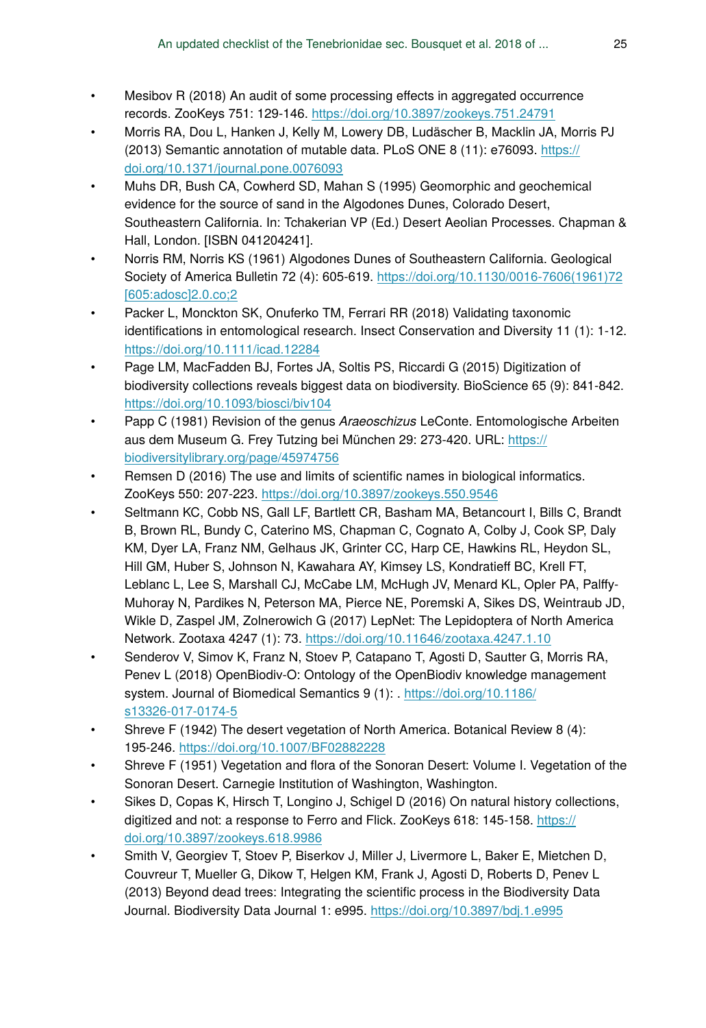- Mesibov R (2018) An audit of some processing effects in aggregated occurrence records. ZooKeys 751: 129‑146.<https://doi.org/10.3897/zookeys.751.24791>
- Morris RA, Dou L, Hanken J, Kelly M, Lowery DB, Ludäscher B, Macklin JA, Morris PJ (2013) Semantic annotation of mutable data. PLoS ONE 8 (11): e76093. [https://](https://doi.org/10.1371/journal.pone.0076093) [doi.org/10.1371/journal.pone.0076093](https://doi.org/10.1371/journal.pone.0076093)
- Muhs DR, Bush CA, Cowherd SD, Mahan S (1995) Geomorphic and geochemical evidence for the source of sand in the Algodones Dunes, Colorado Desert, Southeastern California. In: Tchakerian VP (Ed.) Desert Aeolian Processes. Chapman & Hall, London. [ISBN 041204241].
- Norris RM, Norris KS (1961) Algodones Dunes of Southeastern California. Geological Society of America Bulletin 72 (4): 605‑619. [https://doi.org/10.1130/0016-7606\(1961\)72](https://doi.org/10.1130/0016-7606(1961)72%5B605:adosc%5D2.0.co;2) [\[605:adosc\]2.0.co;2](https://doi.org/10.1130/0016-7606(1961)72%5B605:adosc%5D2.0.co;2)
- Packer L, Monckton SK, Onuferko TM, Ferrari RR (2018) Validating taxonomic identifications in entomological research. Insect Conservation and Diversity 11 (1): 1‑12. <https://doi.org/10.1111/icad.12284>
- Page LM, MacFadden BJ, Fortes JA, Soltis PS, Riccardi G (2015) Digitization of biodiversity collections reveals biggest data on biodiversity. BioScience 65 (9): 841‑842. <https://doi.org/10.1093/biosci/biv104>
- Papp C (1981) Revision of the genus *Araeoschizus* LeConte. Entomologische Arbeiten aus dem Museum G. Frey Tutzing bei München 29: 273‑420. URL: [https://](https://biodiversitylibrary.org/page/45974756) [biodiversitylibrary.org/page/45974756](https://biodiversitylibrary.org/page/45974756)
- Remsen D (2016) The use and limits of scientific names in biological informatics. ZooKeys 550: 207‑223.<https://doi.org/10.3897/zookeys.550.9546>
- Seltmann KC, Cobb NS, Gall LF, Bartlett CR, Basham MA, Betancourt I, Bills C, Brandt B, Brown RL, Bundy C, Caterino MS, Chapman C, Cognato A, Colby J, Cook SP, Daly KM, Dyer LA, Franz NM, Gelhaus JK, Grinter CC, Harp CE, Hawkins RL, Heydon SL, Hill GM, Huber S, Johnson N, Kawahara AY, Kimsey LS, Kondratieff BC, Krell FT, Leblanc L, Lee S, Marshall CJ, McCabe LM, McHugh JV, Menard KL, Opler PA, Palffy-Muhoray N, Pardikes N, Peterson MA, Pierce NE, Poremski A, Sikes DS, Weintraub JD, Wikle D, Zaspel JM, Zolnerowich G (2017) LepNet: The Lepidoptera of North America Network. Zootaxa 4247 (1): 73.<https://doi.org/10.11646/zootaxa.4247.1.10>
- Senderov V, Simov K, Franz N, Stoev P, Catapano T, Agosti D, Sautter G, Morris RA, Penev L (2018) OpenBiodiv-O: Ontology of the OpenBiodiv knowledge management system. Journal of Biomedical Semantics 9 (1): . [https://doi.org/10.1186/](https://doi.org/10.1186/s13326-017-0174-5) [s13326-017-0174-5](https://doi.org/10.1186/s13326-017-0174-5)
- Shreve F (1942) The desert vegetation of North America. Botanical Review 8 (4): 195‑246. <https://doi.org/10.1007/BF02882228>
- Shreve F (1951) Vegetation and flora of the Sonoran Desert: Volume I. Vegetation of the Sonoran Desert. Carnegie Institution of Washington, Washington.
- Sikes D, Copas K, Hirsch T, Longino J, Schigel D (2016) On natural history collections, digitized and not: a response to Ferro and Flick. ZooKeys 618: 145-158. [https://](https://doi.org/10.3897/zookeys.618.9986) [doi.org/10.3897/zookeys.618.9986](https://doi.org/10.3897/zookeys.618.9986)
- Smith V, Georgiev T, Stoev P, Biserkov J, Miller J, Livermore L, Baker E, Mietchen D, Couvreur T, Mueller G, Dikow T, Helgen KM, Frank J, Agosti D, Roberts D, Penev L (2013) Beyond dead trees: Integrating the scientific process in the Biodiversity Data Journal. Biodiversity Data Journal 1: e995.<https://doi.org/10.3897/bdj.1.e995>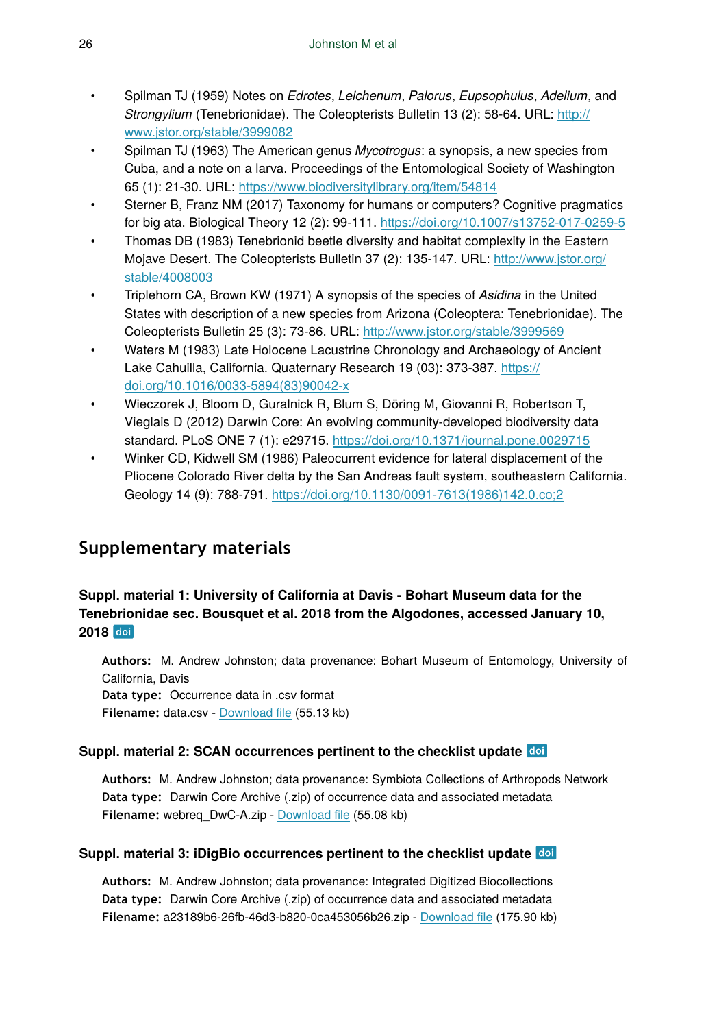- Spilman TJ (1959) Notes on *Edrotes*, *Leichenum*, *Palorus*, *Eupsophulus*, *Adelium*, and *Strongylium* (Tenebrionidae). The Coleopterists Bulletin 13 (2): 58‑64. URL: [http://](http://www.jstor.org/stable/3999082) [www.jstor.org/stable/3999082](http://www.jstor.org/stable/3999082)
- Spilman TJ (1963) The American genus *Mycotrogus*: a synopsis, a new species from Cuba, and a note on a larva. Proceedings of the Entomological Society of Washington 65 (1): 21‑30. URL:<https://www.biodiversitylibrary.org/item/54814>
- Sterner B, Franz NM (2017) Taxonomy for humans or computers? Cognitive pragmatics for big ata. Biological Theory 12 (2): 99‑111. <https://doi.org/10.1007/s13752-017-0259-5>
- Thomas DB (1983) Tenebrionid beetle diversity and habitat complexity in the Eastern Mojave Desert. The Coleopterists Bulletin 37 (2): 135‑147. URL: [http://www.jstor.org/](http://www.jstor.org/stable/4008003) [stable/4008003](http://www.jstor.org/stable/4008003)
- Triplehorn CA, Brown KW (1971) A synopsis of the species of *Asidina* in the United States with description of a new species from Arizona (Coleoptera: Tenebrionidae). The Coleopterists Bulletin 25 (3): 73‑86. URL:<http://www.jstor.org/stable/3999569>
- Waters M (1983) Late Holocene Lacustrine Chronology and Archaeology of Ancient Lake Cahuilla, California. Quaternary Research 19 (03): 373-387. [https://](https://doi.org/10.1016/0033-5894(83)90042-x) [doi.org/10.1016/0033-5894\(83\)90042-x](https://doi.org/10.1016/0033-5894(83)90042-x)
- Wieczorek J, Bloom D, Guralnick R, Blum S, Döring M, Giovanni R, Robertson T, Vieglais D (2012) Darwin Core: An evolving community-developed biodiversity data standard. PLoS ONE 7 (1): e29715.<https://doi.org/10.1371/journal.pone.0029715>
- Winker CD, Kidwell SM (1986) Paleocurrent evidence for lateral displacement of the Pliocene Colorado River delta by the San Andreas fault system, southeastern California. Geology 14 (9): 788‑791. [https://doi.org/10.1130/0091-7613\(1986\)142.0.co;2](https://doi.org/10.1130/0091-7613(1986)142.0.co;2)

# **Supplementary materials**

### **Suppl. material 1: University of California at Davis - Bohart Museum data for the Tenebrionidae sec. Bousquet et al. 2018 from the Algodones, accessed January 10, 2018**

**Authors:** M. Andrew Johnston; data provenance: Bohart Museum of Entomology, University of California, Davis **Data type:** Occurrence data in .csv format

**Filename:** data.csv - [Download](https://arpha.pensoft.net/getfile.php?filename=oo_178920.csv) file (55.13 kb)

### **Suppl. material 2: SCAN occurrences pertinent to the checklist update**

**Authors:** M. Andrew Johnston; data provenance: Symbiota Collections of Arthropods Network **Data type:** Darwin Core Archive (.zip) of occurrence data and associated metadata **Filename:** webreq\_DwC-A.zip - [Download](https://arpha.pensoft.net/getfile.php?filename=oo_178919.zip) file (55.08 kb)

### **Suppl. material 3: iDigBio occurrences pertinent to the checklist update**

**Authors:** M. Andrew Johnston; data provenance: Integrated Digitized Biocollections **Data type:** Darwin Core Archive (.zip) of occurrence data and associated metadata **Filename:** a23189b6-26fb-46d3-b820-0ca453056b26.zip - [Download](https://arpha.pensoft.net/getfile.php?filename=oo_179367.zip) file (175.90 kb)